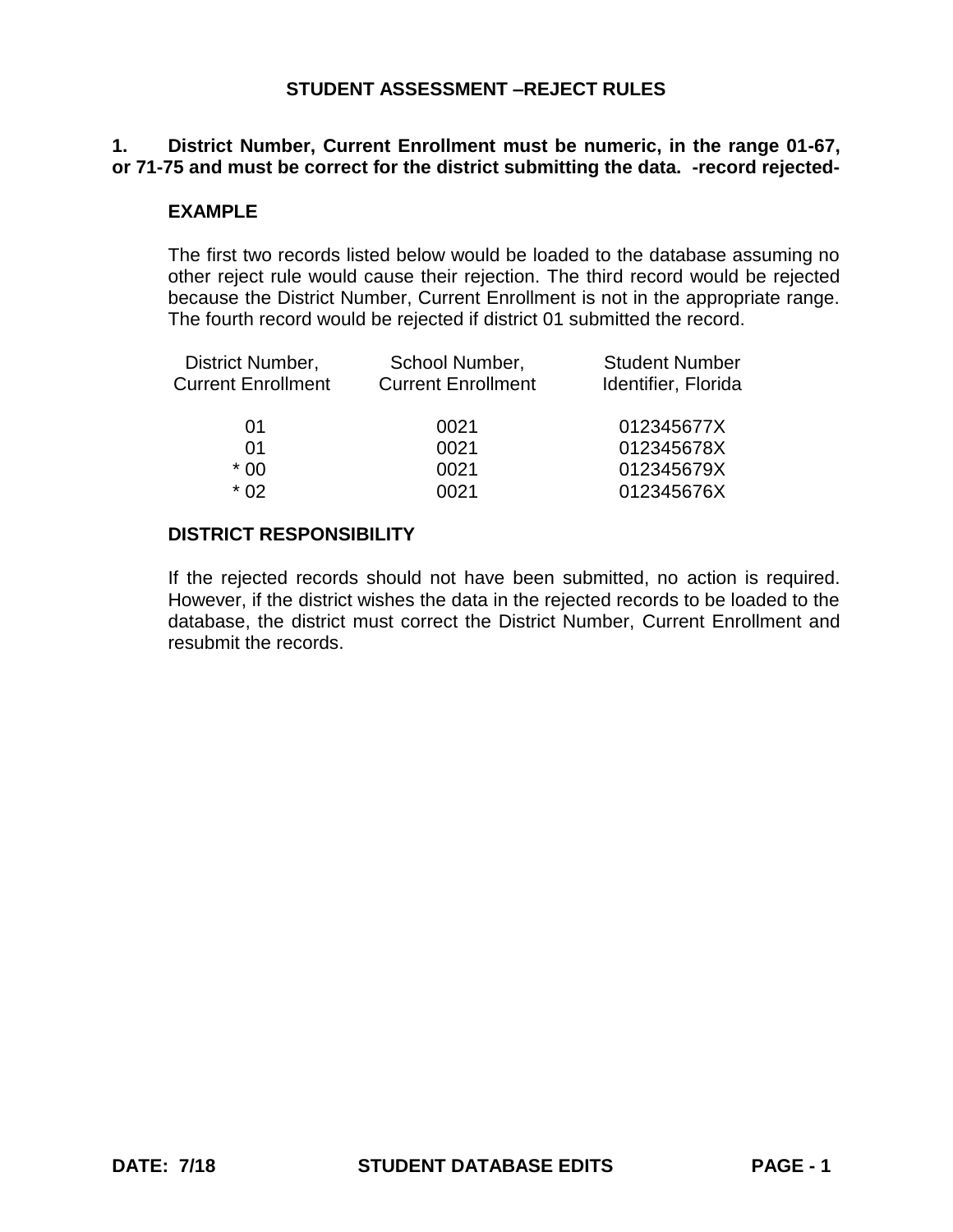### **1. District Number, Current Enrollment must be numeric, in the range 01-67, or 71-75 and must be correct for the district submitting the data. -record rejected-**

## **EXAMPLE**

The first two records listed below would be loaded to the database assuming no other reject rule would cause their rejection. The third record would be rejected because the District Number, Current Enrollment is not in the appropriate range. The fourth record would be rejected if district 01 submitted the record.

| Identifier, Florida |
|---------------------|
| 012345677X          |
| 012345678X          |
| 012345679X          |
| 012345676X          |
|                     |

### **DISTRICT RESPONSIBILITY**

If the rejected records should not have been submitted, no action is required. However, if the district wishes the data in the rejected records to be loaded to the database, the district must correct the District Number, Current Enrollment and resubmit the records.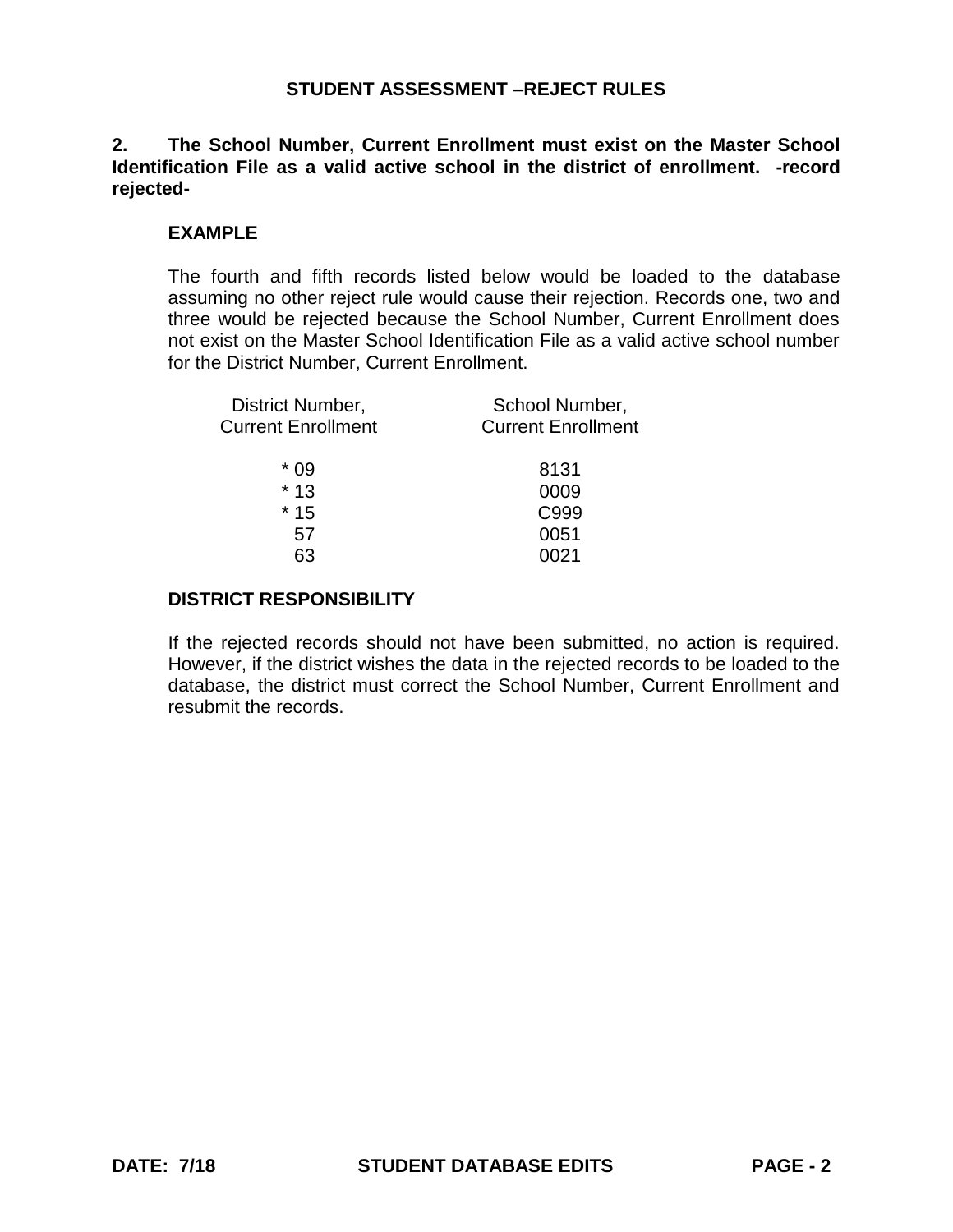**2. The School Number, Current Enrollment must exist on the Master School Identification File as a valid active school in the district of enrollment. -record rejected-**

### **EXAMPLE**

The fourth and fifth records listed below would be loaded to the database assuming no other reject rule would cause their rejection. Records one, two and three would be rejected because the School Number, Current Enrollment does not exist on the Master School Identification File as a valid active school number for the District Number, Current Enrollment.

| District Number,          | School Number,            |
|---------------------------|---------------------------|
| <b>Current Enrollment</b> | <b>Current Enrollment</b> |
| * 09                      | 8131                      |
| $*13$                     | 0009                      |
| $*15$                     | C999                      |
| 57                        | 0051                      |
| 63                        | 0021                      |
|                           |                           |

### **DISTRICT RESPONSIBILITY**

If the rejected records should not have been submitted, no action is required. However, if the district wishes the data in the rejected records to be loaded to the database, the district must correct the School Number, Current Enrollment and resubmit the records.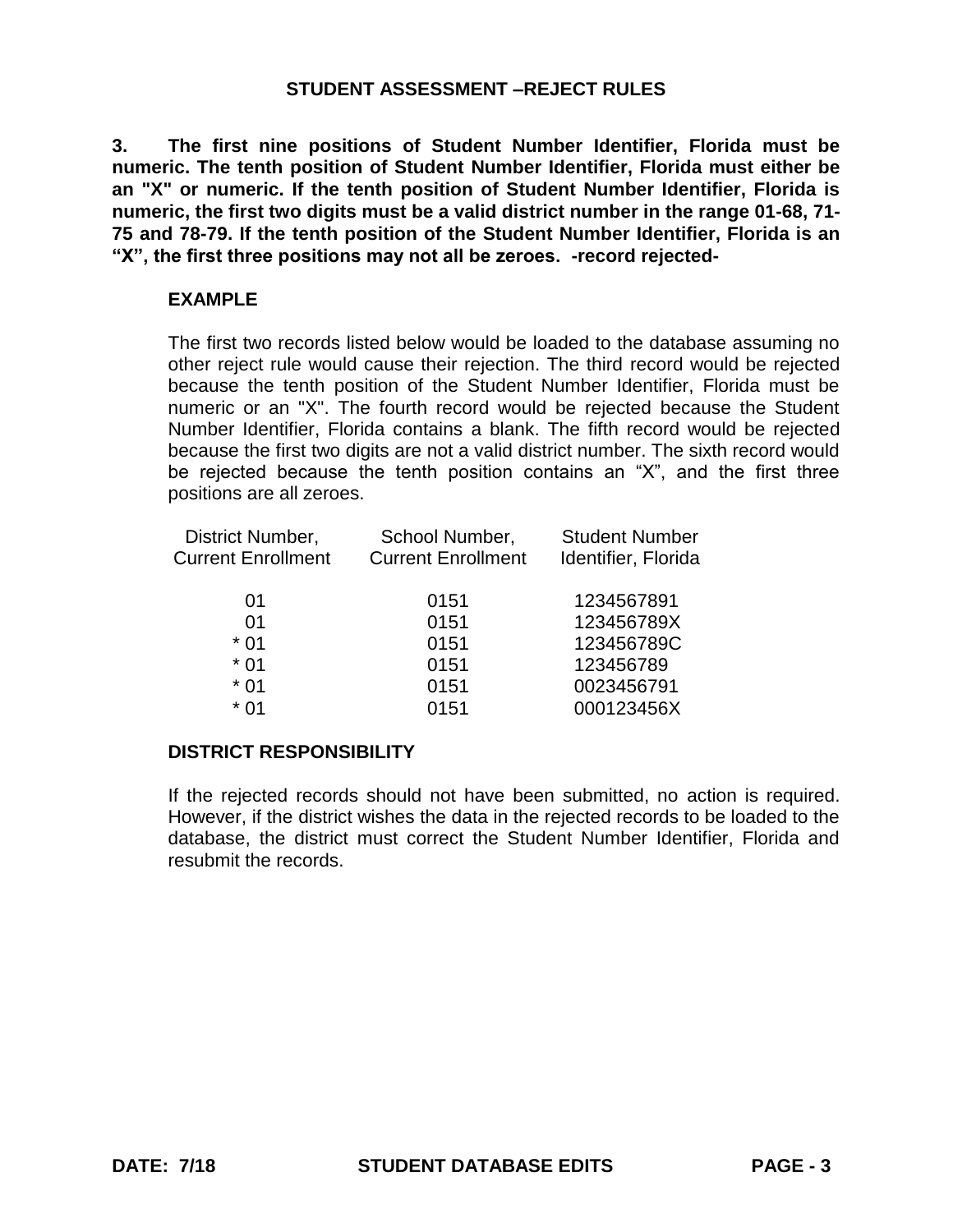**3. The first nine positions of Student Number Identifier, Florida must be numeric. The tenth position of Student Number Identifier, Florida must either be an "X" or numeric. If the tenth position of Student Number Identifier, Florida is numeric, the first two digits must be a valid district number in the range 01-68, 71- 75 and 78-79. If the tenth position of the Student Number Identifier, Florida is an "X", the first three positions may not all be zeroes. -record rejected-**

# **EXAMPLE**

The first two records listed below would be loaded to the database assuming no other reject rule would cause their rejection. The third record would be rejected because the tenth position of the Student Number Identifier, Florida must be numeric or an "X". The fourth record would be rejected because the Student Number Identifier, Florida contains a blank. The fifth record would be rejected because the first two digits are not a valid district number. The sixth record would be rejected because the tenth position contains an "X", and the first three positions are all zeroes.

| School Number,            | <b>Student Number</b> |
|---------------------------|-----------------------|
| <b>Current Enrollment</b> | Identifier, Florida   |
|                           |                       |
|                           | 1234567891            |
| 0151                      | 123456789X            |
| 0151                      | 123456789C            |
| 0151                      | 123456789             |
| 0151                      | 0023456791            |
| 0151                      | 000123456X            |
|                           | 0151                  |

# **DISTRICT RESPONSIBILITY**

If the rejected records should not have been submitted, no action is required. However, if the district wishes the data in the rejected records to be loaded to the database, the district must correct the Student Number Identifier, Florida and resubmit the records.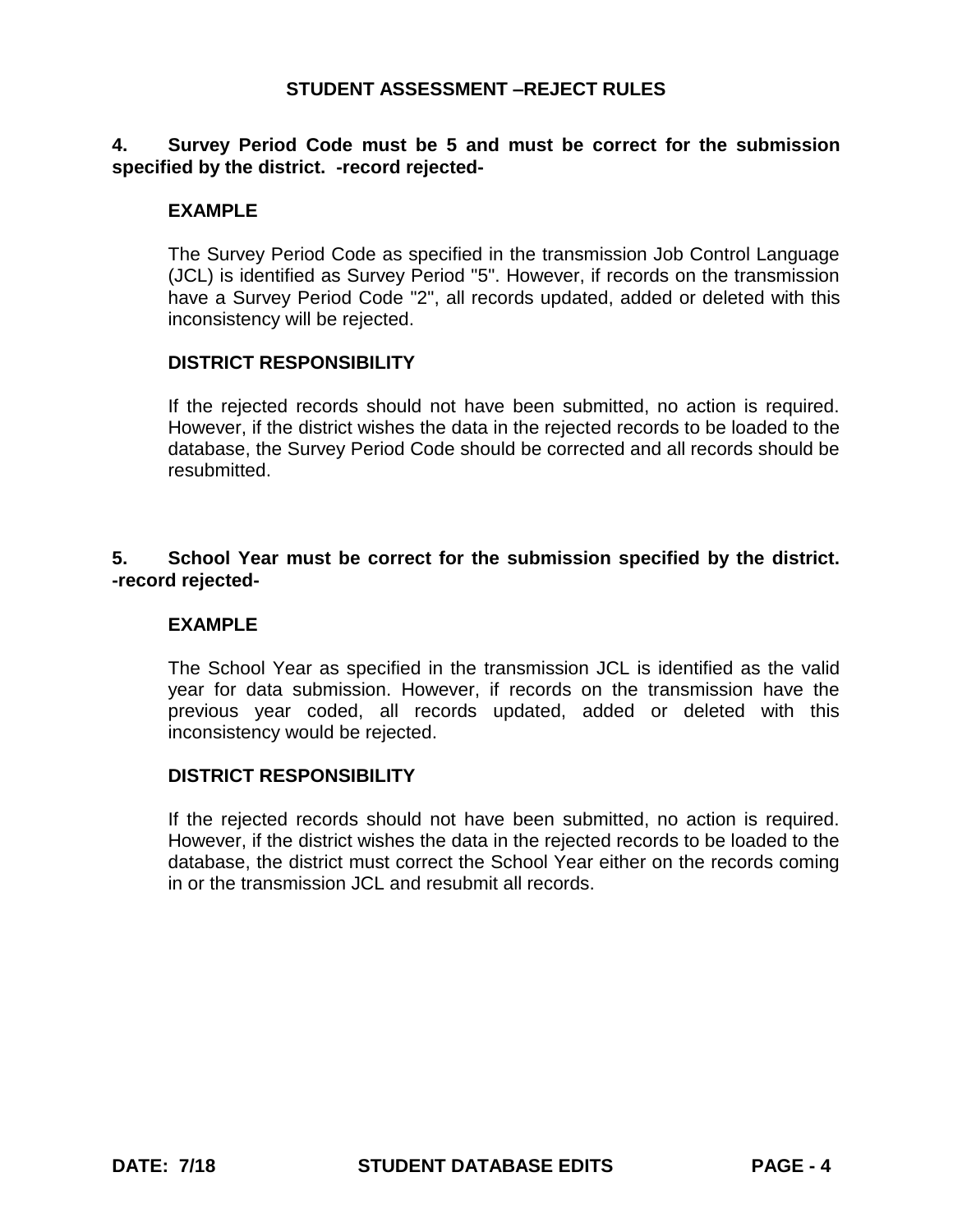## **4. Survey Period Code must be 5 and must be correct for the submission specified by the district. -record rejected-**

## **EXAMPLE**

The Survey Period Code as specified in the transmission Job Control Language (JCL) is identified as Survey Period "5". However, if records on the transmission have a Survey Period Code "2", all records updated, added or deleted with this inconsistency will be rejected.

#### **DISTRICT RESPONSIBILITY**

If the rejected records should not have been submitted, no action is required. However, if the district wishes the data in the rejected records to be loaded to the database, the Survey Period Code should be corrected and all records should be resubmitted.

# **5. School Year must be correct for the submission specified by the district. -record rejected-**

## **EXAMPLE**

The School Year as specified in the transmission JCL is identified as the valid year for data submission. However, if records on the transmission have the previous year coded, all records updated, added or deleted with this inconsistency would be rejected.

#### **DISTRICT RESPONSIBILITY**

If the rejected records should not have been submitted, no action is required. However, if the district wishes the data in the rejected records to be loaded to the database, the district must correct the School Year either on the records coming in or the transmission JCL and resubmit all records.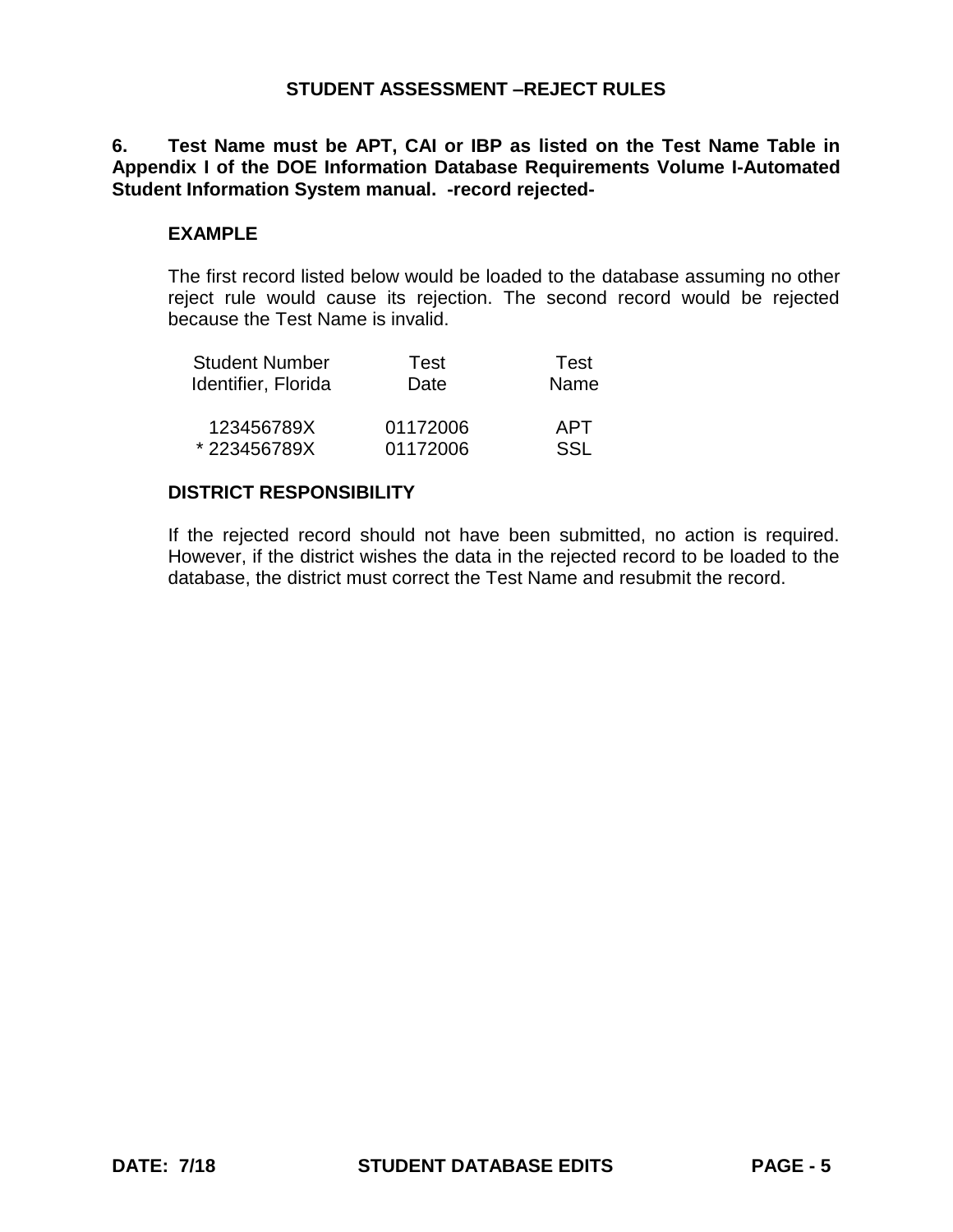# **6. Test Name must be APT, CAI or IBP as listed on the Test Name Table in Appendix I of the DOE Information Database Requirements Volume I-Automated Student Information System manual. -record rejected-**

#### **EXAMPLE**

The first record listed below would be loaded to the database assuming no other reject rule would cause its rejection. The second record would be rejected because the Test Name is invalid.

| <b>Student Number</b> | Test     | Test |
|-----------------------|----------|------|
| Identifier, Florida   | Date     | Name |
| 123456789X            | 01172006 | APT  |
| *223456789X           | 01172006 | SSL  |

#### **DISTRICT RESPONSIBILITY**

If the rejected record should not have been submitted, no action is required. However, if the district wishes the data in the rejected record to be loaded to the database, the district must correct the Test Name and resubmit the record.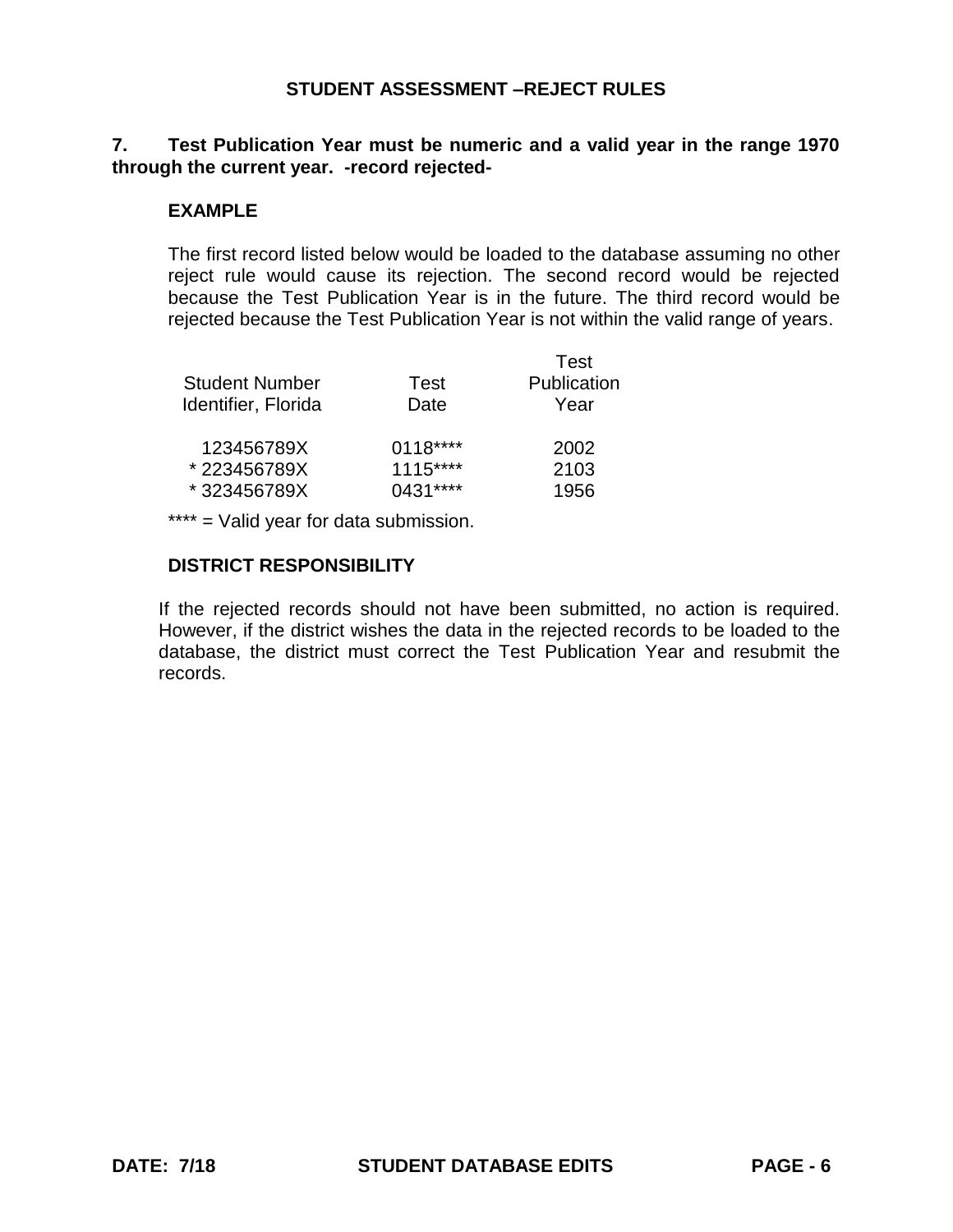## **7. Test Publication Year must be numeric and a valid year in the range 1970 through the current year. -record rejected-**

### **EXAMPLE**

The first record listed below would be loaded to the database assuming no other reject rule would cause its rejection. The second record would be rejected because the Test Publication Year is in the future. The third record would be rejected because the Test Publication Year is not within the valid range of years.

|                       |           | Test        |
|-----------------------|-----------|-------------|
| <b>Student Number</b> | Test      | Publication |
| Identifier, Florida   | Date      | Year        |
| 123456789X            | $0118***$ | 2002        |
| * 223456789X          | $1115***$ | 2103        |
| *323456789X           | $0431***$ | 1956        |

\*\*\*\* = Valid year for data submission.

## **DISTRICT RESPONSIBILITY**

If the rejected records should not have been submitted, no action is required. However, if the district wishes the data in the rejected records to be loaded to the database, the district must correct the Test Publication Year and resubmit the records.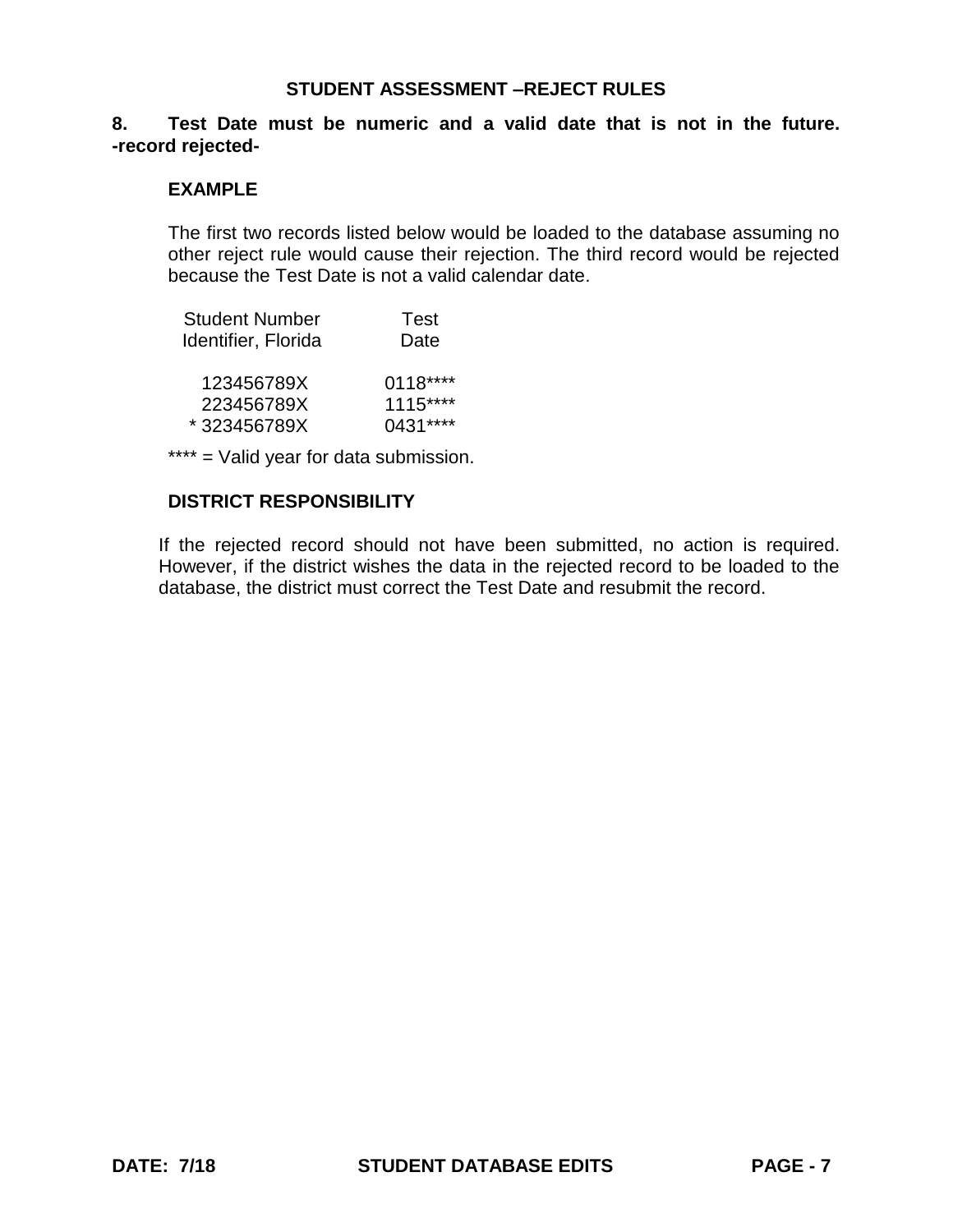#### **8. Test Date must be numeric and a valid date that is not in the future. -record rejected-**

#### **EXAMPLE**

The first two records listed below would be loaded to the database assuming no other reject rule would cause their rejection. The third record would be rejected because the Test Date is not a valid calendar date.

| <b>Student Number</b> | Test      |
|-----------------------|-----------|
| Identifier, Florida   | Date      |
|                       |           |
| 123456789X            | $0118***$ |
| 223456789X            | $1115***$ |
| *323456789X           | $0431***$ |

\*\*\*\* = Valid year for data submission.

### **DISTRICT RESPONSIBILITY**

If the rejected record should not have been submitted, no action is required. However, if the district wishes the data in the rejected record to be loaded to the database, the district must correct the Test Date and resubmit the record.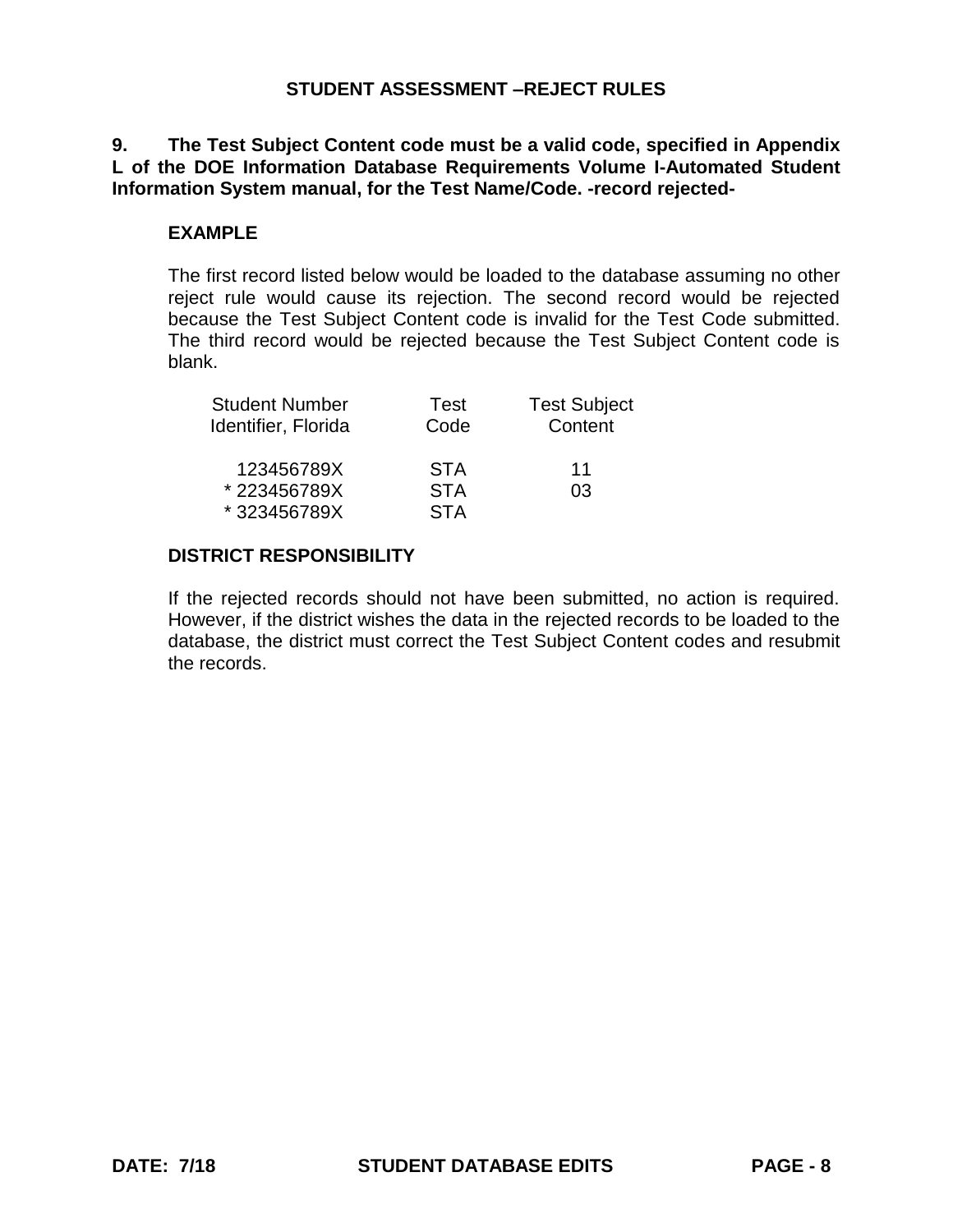# **9. The Test Subject Content code must be a valid code, specified in Appendix L of the DOE Information Database Requirements Volume I-Automated Student Information System manual, for the Test Name/Code. -record rejected-**

### **EXAMPLE**

The first record listed below would be loaded to the database assuming no other reject rule would cause its rejection. The second record would be rejected because the Test Subject Content code is invalid for the Test Code submitted. The third record would be rejected because the Test Subject Content code is blank.

| <b>Student Number</b> | Test       | <b>Test Subject</b> |
|-----------------------|------------|---------------------|
| Identifier, Florida   | Code       | Content             |
| 123456789X            | <b>STA</b> | 11                  |
| *223456789X           | <b>STA</b> | 03                  |
| *323456789X           | <b>STA</b> |                     |

### **DISTRICT RESPONSIBILITY**

If the rejected records should not have been submitted, no action is required. However, if the district wishes the data in the rejected records to be loaded to the database, the district must correct the Test Subject Content codes and resubmit the records.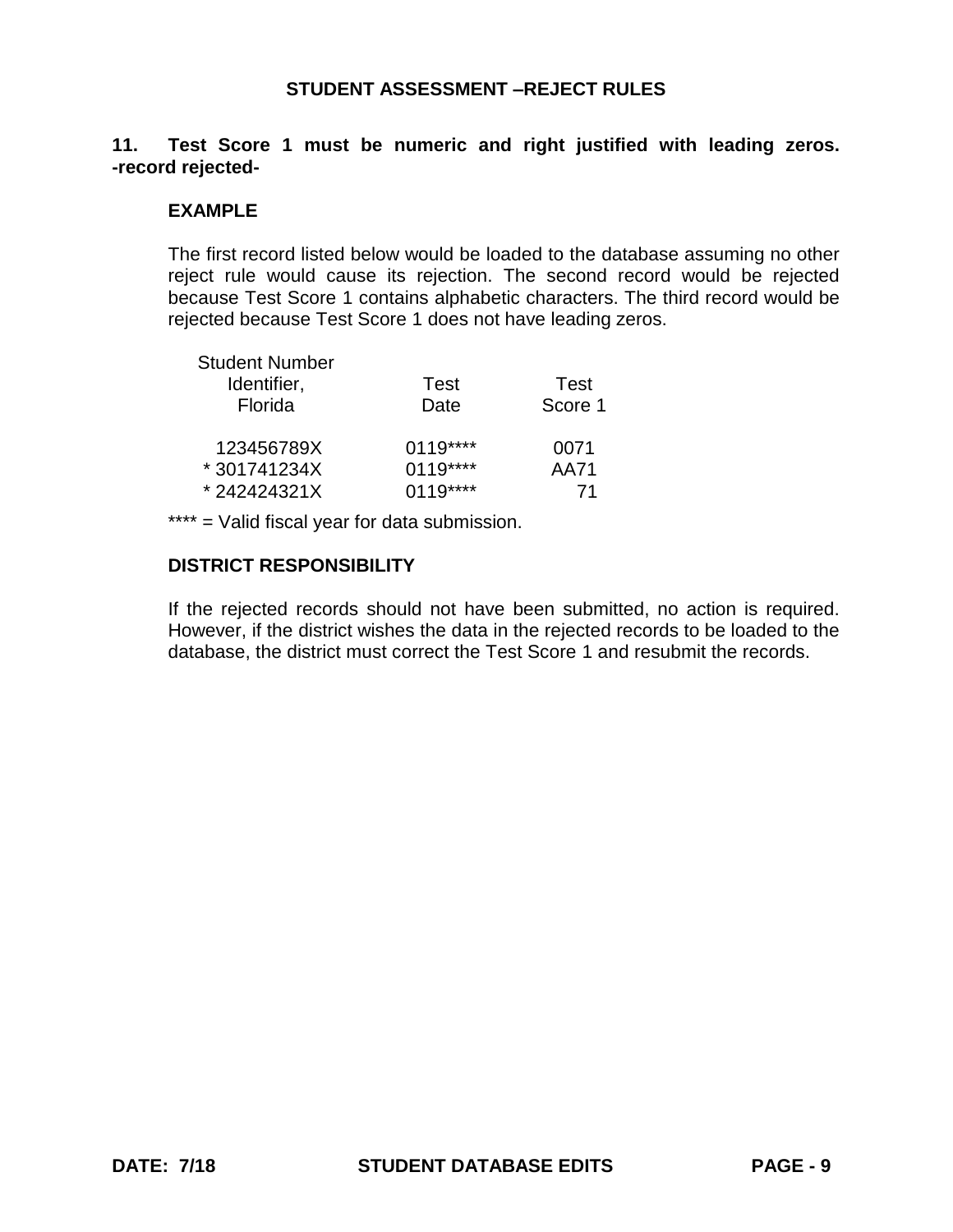# **11. Test Score 1 must be numeric and right justified with leading zeros. -record rejected-**

### **EXAMPLE**

The first record listed below would be loaded to the database assuming no other reject rule would cause its rejection. The second record would be rejected because Test Score 1 contains alphabetic characters. The third record would be rejected because Test Score 1 does not have leading zeros.

| <b>Student Number</b> |           |         |
|-----------------------|-----------|---------|
| Identifier,           | Test      | Test    |
| Florida               | Date      | Score 1 |
| 123456789X            | $0119***$ | 0071    |
| *301741234X           | $0119***$ | AA71    |
| *242424321X           | $0119***$ | 71      |

\*\*\*\* = Valid fiscal year for data submission.

## **DISTRICT RESPONSIBILITY**

If the rejected records should not have been submitted, no action is required. However, if the district wishes the data in the rejected records to be loaded to the database, the district must correct the Test Score 1 and resubmit the records.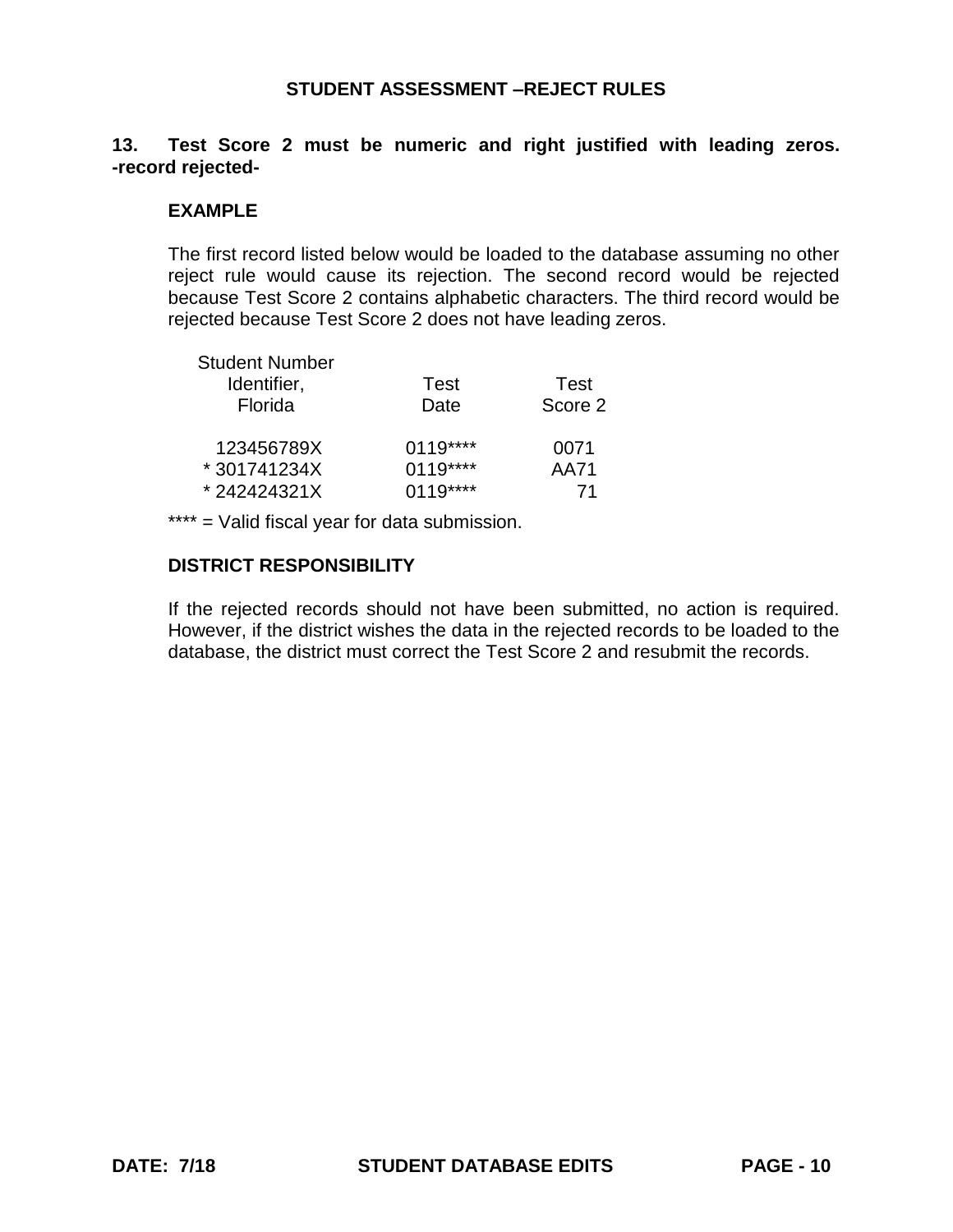# **13. Test Score 2 must be numeric and right justified with leading zeros. -record rejected-**

### **EXAMPLE**

The first record listed below would be loaded to the database assuming no other reject rule would cause its rejection. The second record would be rejected because Test Score 2 contains alphabetic characters. The third record would be rejected because Test Score 2 does not have leading zeros.

| <b>Student Number</b> |           |         |
|-----------------------|-----------|---------|
| Identifier,           | Test      | Test    |
| Florida               | Date      | Score 2 |
| 123456789X            | $0119***$ | 0071    |
| *301741234X           | $0119***$ | AA71    |
| *242424321X           | $0119***$ | 71      |

\*\*\*\* = Valid fiscal year for data submission.

### **DISTRICT RESPONSIBILITY**

If the rejected records should not have been submitted, no action is required. However, if the district wishes the data in the rejected records to be loaded to the database, the district must correct the Test Score 2 and resubmit the records.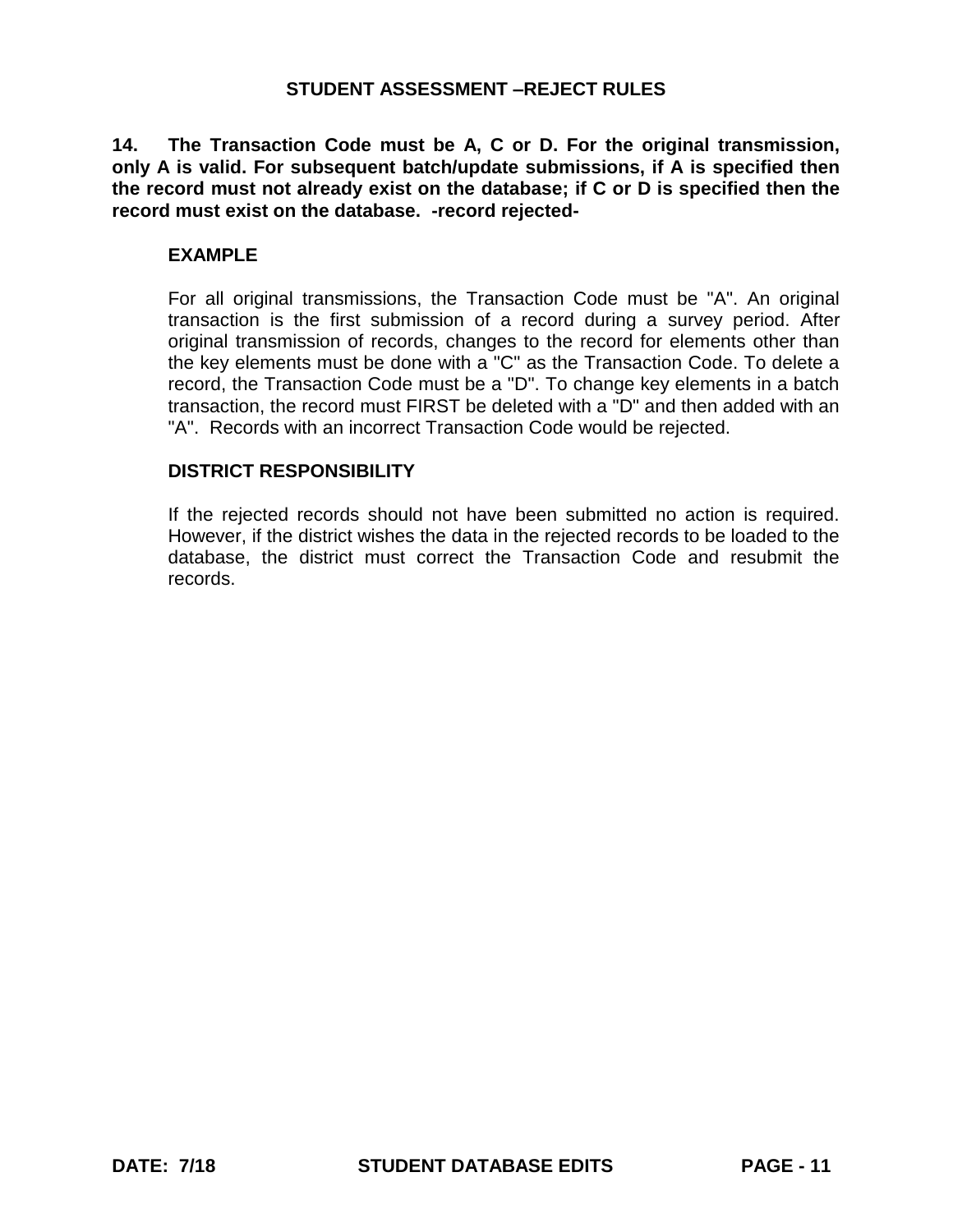**14. The Transaction Code must be A, C or D. For the original transmission, only A is valid. For subsequent batch/update submissions, if A is specified then the record must not already exist on the database; if C or D is specified then the record must exist on the database. -record rejected-**

#### **EXAMPLE**

For all original transmissions, the Transaction Code must be "A". An original transaction is the first submission of a record during a survey period. After original transmission of records, changes to the record for elements other than the key elements must be done with a "C" as the Transaction Code. To delete a record, the Transaction Code must be a "D". To change key elements in a batch transaction, the record must FIRST be deleted with a "D" and then added with an "A". Records with an incorrect Transaction Code would be rejected.

#### **DISTRICT RESPONSIBILITY**

If the rejected records should not have been submitted no action is required. However, if the district wishes the data in the rejected records to be loaded to the database, the district must correct the Transaction Code and resubmit the records.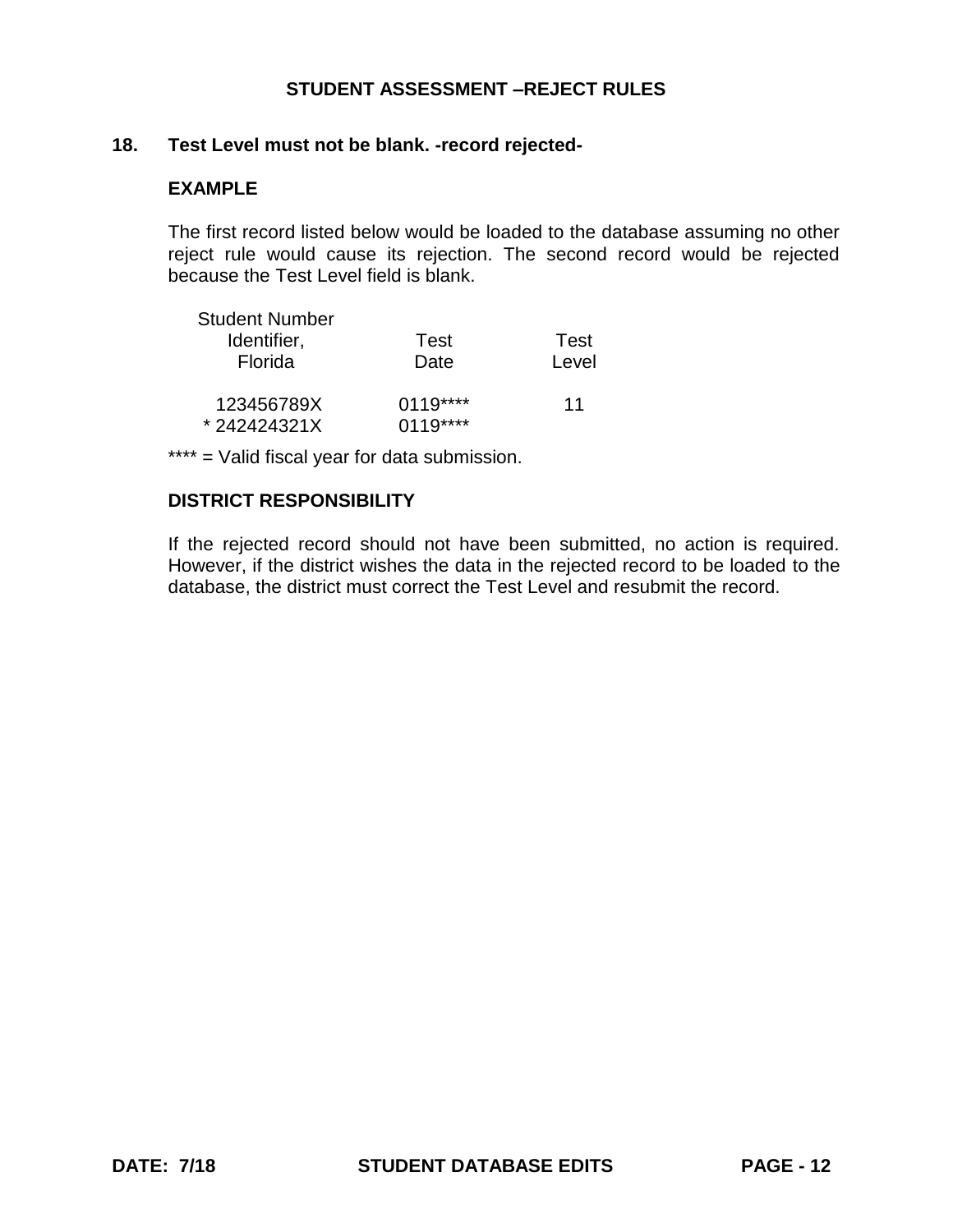### **18. Test Level must not be blank. -record rejected-**

## **EXAMPLE**

The first record listed below would be loaded to the database assuming no other reject rule would cause its rejection. The second record would be rejected because the Test Level field is blank.

| <b>Student Number</b> |           |       |
|-----------------------|-----------|-------|
| Identifier,           | Test      | Test  |
| Florida               | Date      | Level |
| 123456789X            | $0119***$ | 11    |
| *242424321X           | $0119***$ |       |

\*\*\*\* = Valid fiscal year for data submission.

# **DISTRICT RESPONSIBILITY**

If the rejected record should not have been submitted, no action is required. However, if the district wishes the data in the rejected record to be loaded to the database, the district must correct the Test Level and resubmit the record.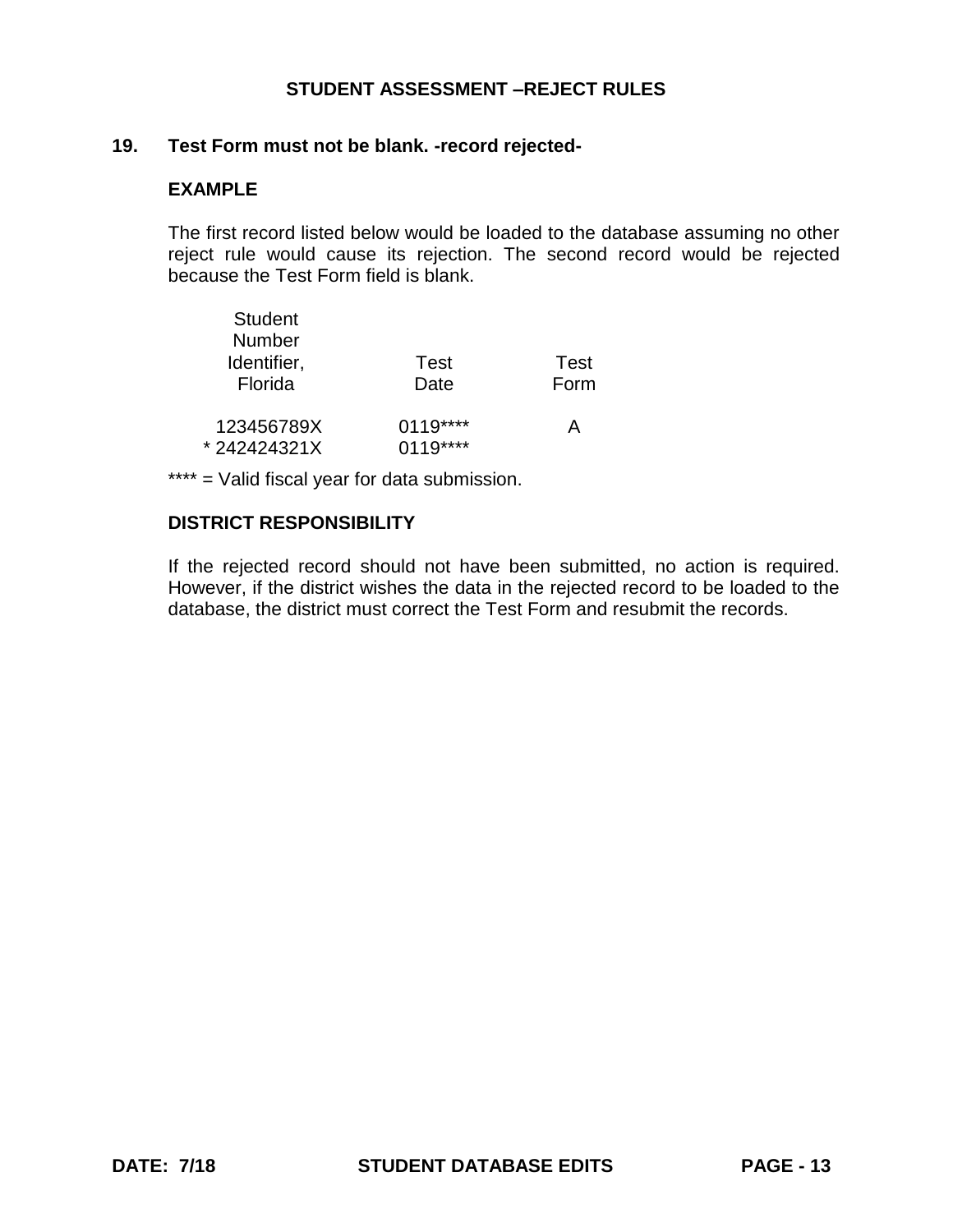### **19. Test Form must not be blank. -record rejected-**

## **EXAMPLE**

The first record listed below would be loaded to the database assuming no other reject rule would cause its rejection. The second record would be rejected because the Test Form field is blank.

| <b>Student</b> |           |      |
|----------------|-----------|------|
| <b>Number</b>  |           |      |
| Identifier,    | Test      | Test |
| Florida        | Date      | Form |
| 123456789X     | 0119****  | А    |
| *242424321X    | $0119***$ |      |

\*\*\*\* = Valid fiscal year for data submission.

# **DISTRICT RESPONSIBILITY**

If the rejected record should not have been submitted, no action is required. However, if the district wishes the data in the rejected record to be loaded to the database, the district must correct the Test Form and resubmit the records.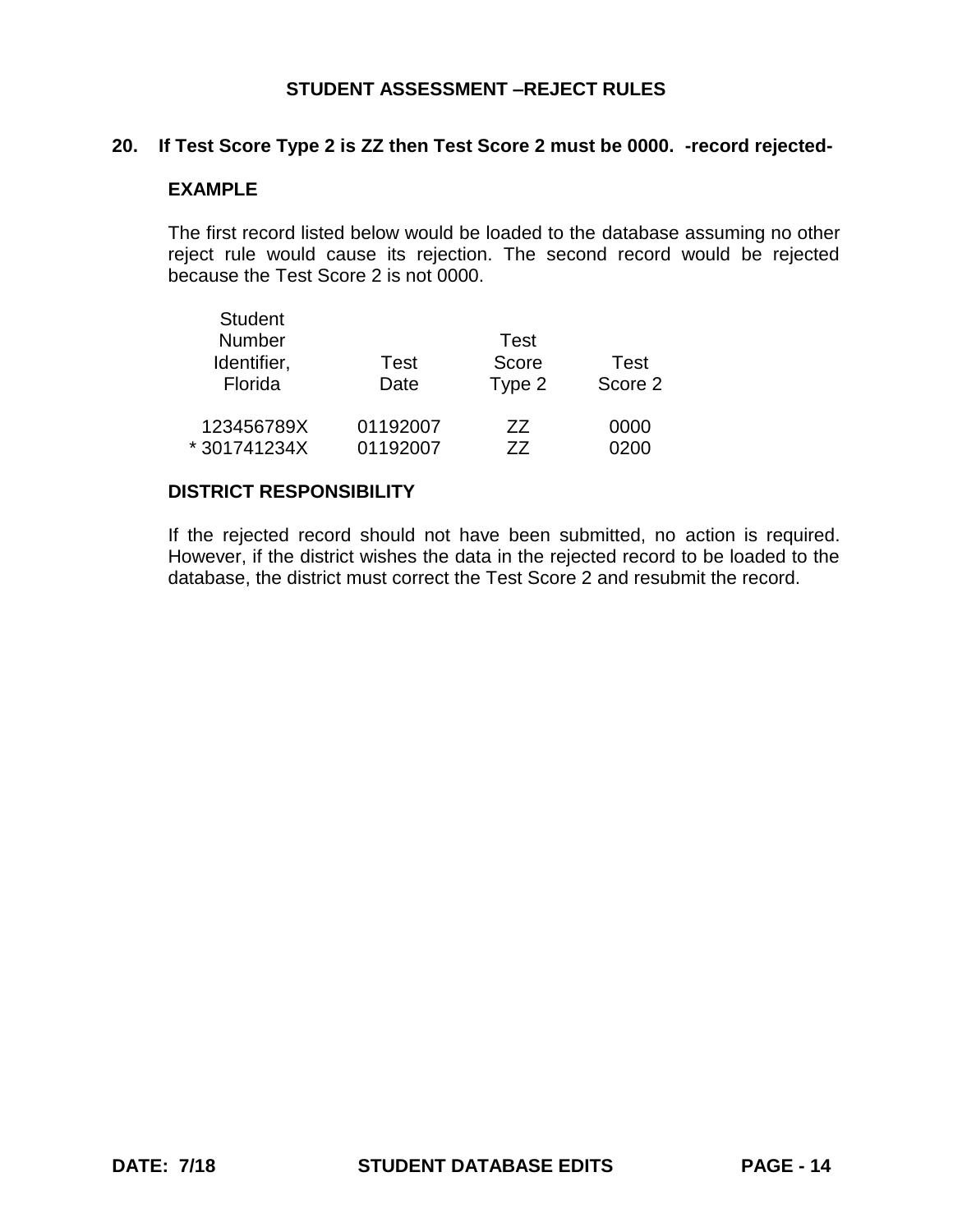### **20. If Test Score Type 2 is ZZ then Test Score 2 must be 0000. -record rejected-**

## **EXAMPLE**

The first record listed below would be loaded to the database assuming no other reject rule would cause its rejection. The second record would be rejected because the Test Score 2 is not 0000.

| <b>Student</b> |          |        |         |
|----------------|----------|--------|---------|
| <b>Number</b>  |          | Test   |         |
| Identifier,    | Test     | Score  | Test    |
| Florida        | Date     | Type 2 | Score 2 |
| 123456789X     | 01192007 | 77     | 0000    |
| *301741234X    | 01192007 | 77     | Ი2ᲘᲘ    |

#### **DISTRICT RESPONSIBILITY**

If the rejected record should not have been submitted, no action is required. However, if the district wishes the data in the rejected record to be loaded to the database, the district must correct the Test Score 2 and resubmit the record.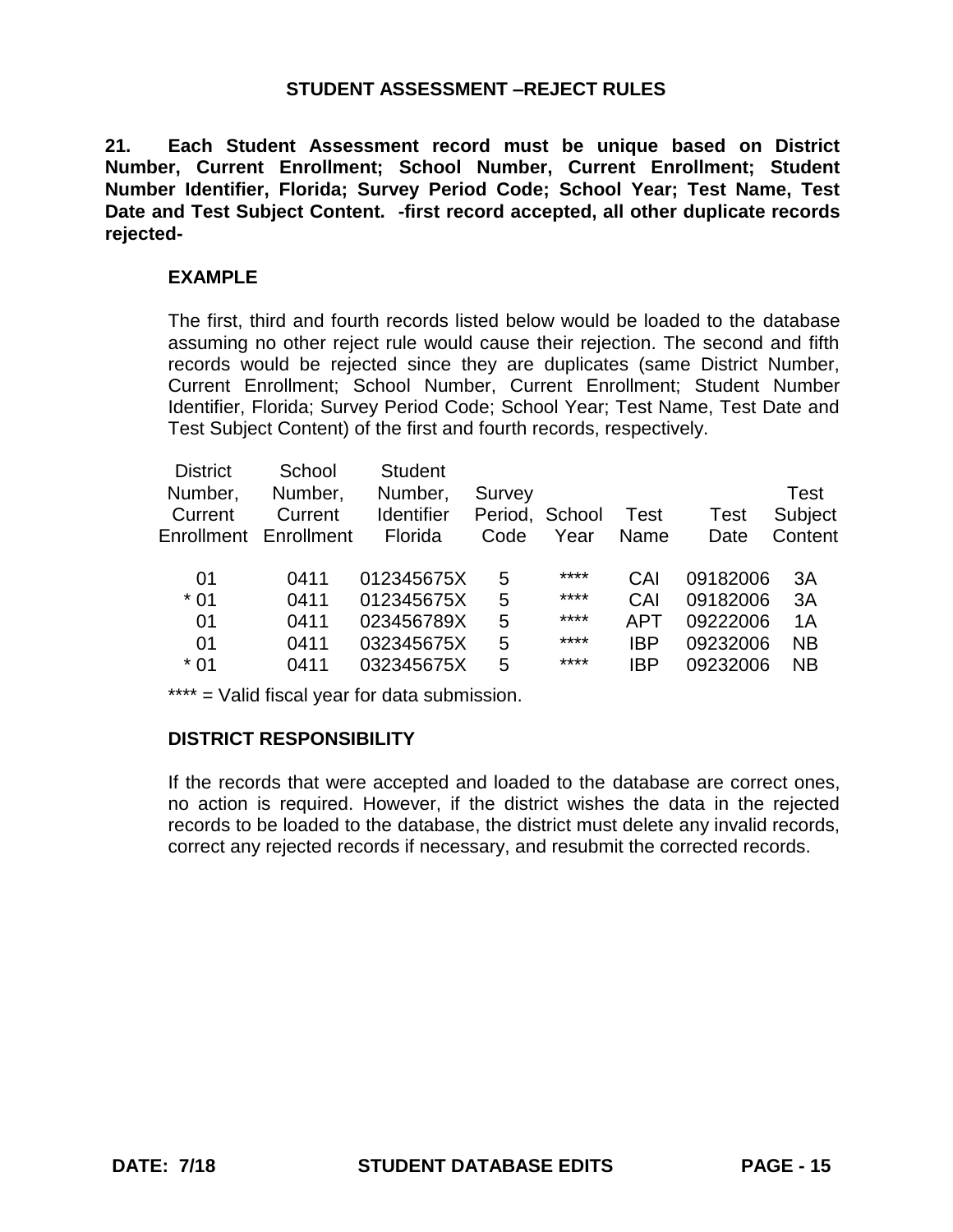**21. Each Student Assessment record must be unique based on District Number, Current Enrollment; School Number, Current Enrollment; Student Number Identifier, Florida; Survey Period Code; School Year; Test Name, Test Date and Test Subject Content. -first record accepted, all other duplicate records rejected-**

#### **EXAMPLE**

The first, third and fourth records listed below would be loaded to the database assuming no other reject rule would cause their rejection. The second and fifth records would be rejected since they are duplicates (same District Number, Current Enrollment; School Number, Current Enrollment; Student Number Identifier, Florida; Survey Period Code; School Year; Test Name, Test Date and Test Subject Content) of the first and fourth records, respectively.

| School                | <b>Student</b>    |        |      |                |      |                                                          |
|-----------------------|-------------------|--------|------|----------------|------|----------------------------------------------------------|
| Number,               | Number,           | Survey |      |                |      | Test                                                     |
| Current               | <b>Identifier</b> |        |      | <b>Test</b>    | Test | Subject                                                  |
| Enrollment Enrollment | Florida           | Code   | Year | Name           | Date | Content                                                  |
|                       |                   |        |      |                |      |                                                          |
| 0411                  | 012345675X        | 5      | **** | CAI            |      | 3A                                                       |
| 0411                  | 012345675X        | 5      | **** | CAI            |      | 3A                                                       |
| 0411                  | 023456789X        | 5      | **** | APT            |      | 1A                                                       |
| 0411                  | 032345675X        | 5      | **** | IBP            |      | <b>NB</b>                                                |
| 0411                  | 032345675X        | 5      | **** | IBP            |      | <b>NB</b>                                                |
|                       |                   |        |      | Period, School |      | 09182006<br>09182006<br>09222006<br>09232006<br>09232006 |

\*\*\*\* = Valid fiscal year for data submission.

#### **DISTRICT RESPONSIBILITY**

If the records that were accepted and loaded to the database are correct ones, no action is required. However, if the district wishes the data in the rejected records to be loaded to the database, the district must delete any invalid records, correct any rejected records if necessary, and resubmit the corrected records.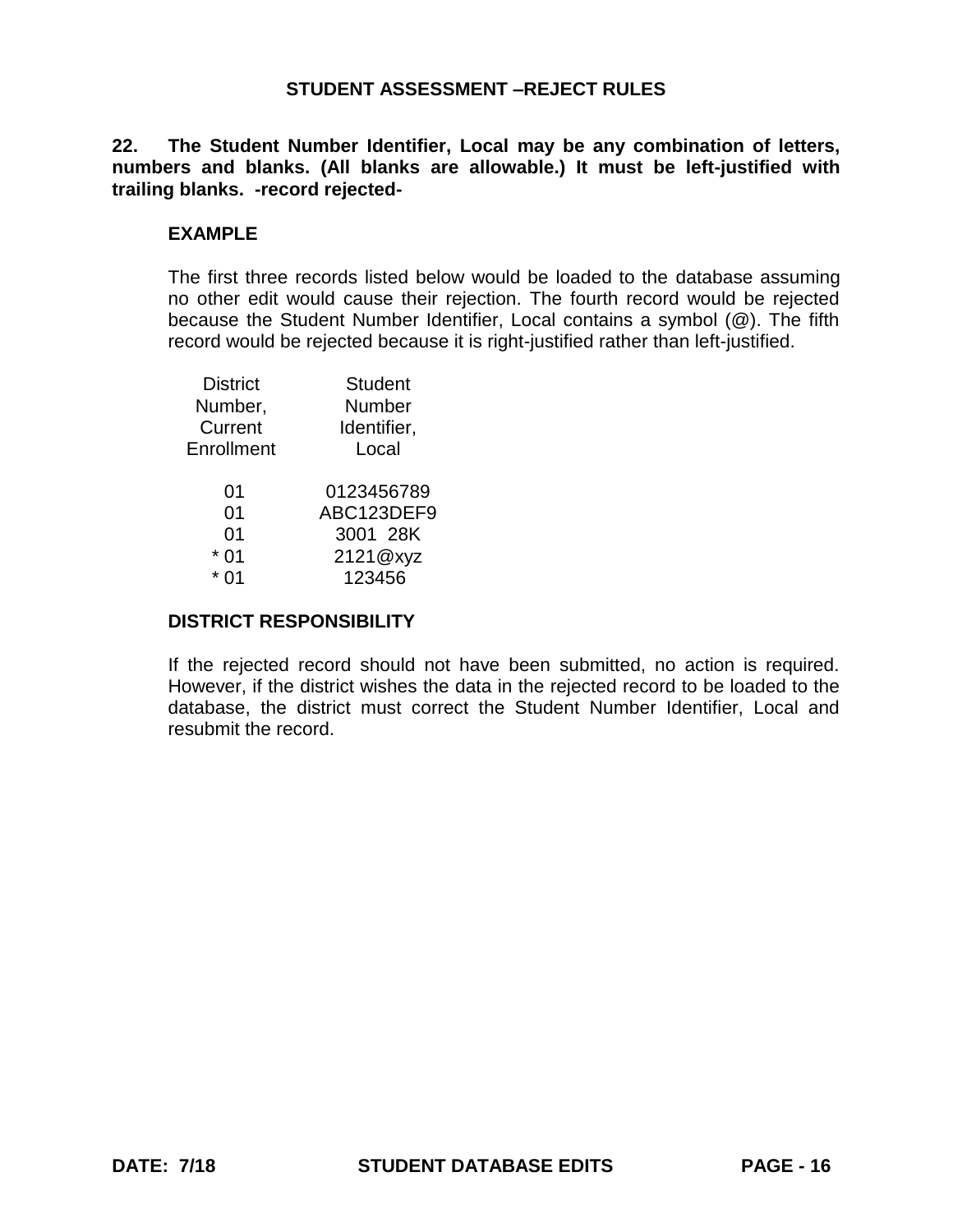**22. The Student Number Identifier, Local may be any combination of letters, numbers and blanks. (All blanks are allowable.) It must be left-justified with trailing blanks. -record rejected-**

## **EXAMPLE**

The first three records listed below would be loaded to the database assuming no other edit would cause their rejection. The fourth record would be rejected because the Student Number Identifier, Local contains a symbol (@). The fifth record would be rejected because it is right-justified rather than left-justified.

| <b>District</b> | <b>Student</b> |
|-----------------|----------------|
| Number,         | Number         |
| Current         | Identifier,    |
| Enrollment      | Local          |
| 01              | 0123456789     |
| 01              | ABC123DEF9     |
| 01              | 3001 28K       |
| 01              | 2121@xyz       |
| ሰ1              | 123456         |
|                 |                |

#### **DISTRICT RESPONSIBILITY**

If the rejected record should not have been submitted, no action is required. However, if the district wishes the data in the rejected record to be loaded to the database, the district must correct the Student Number Identifier, Local and resubmit the record.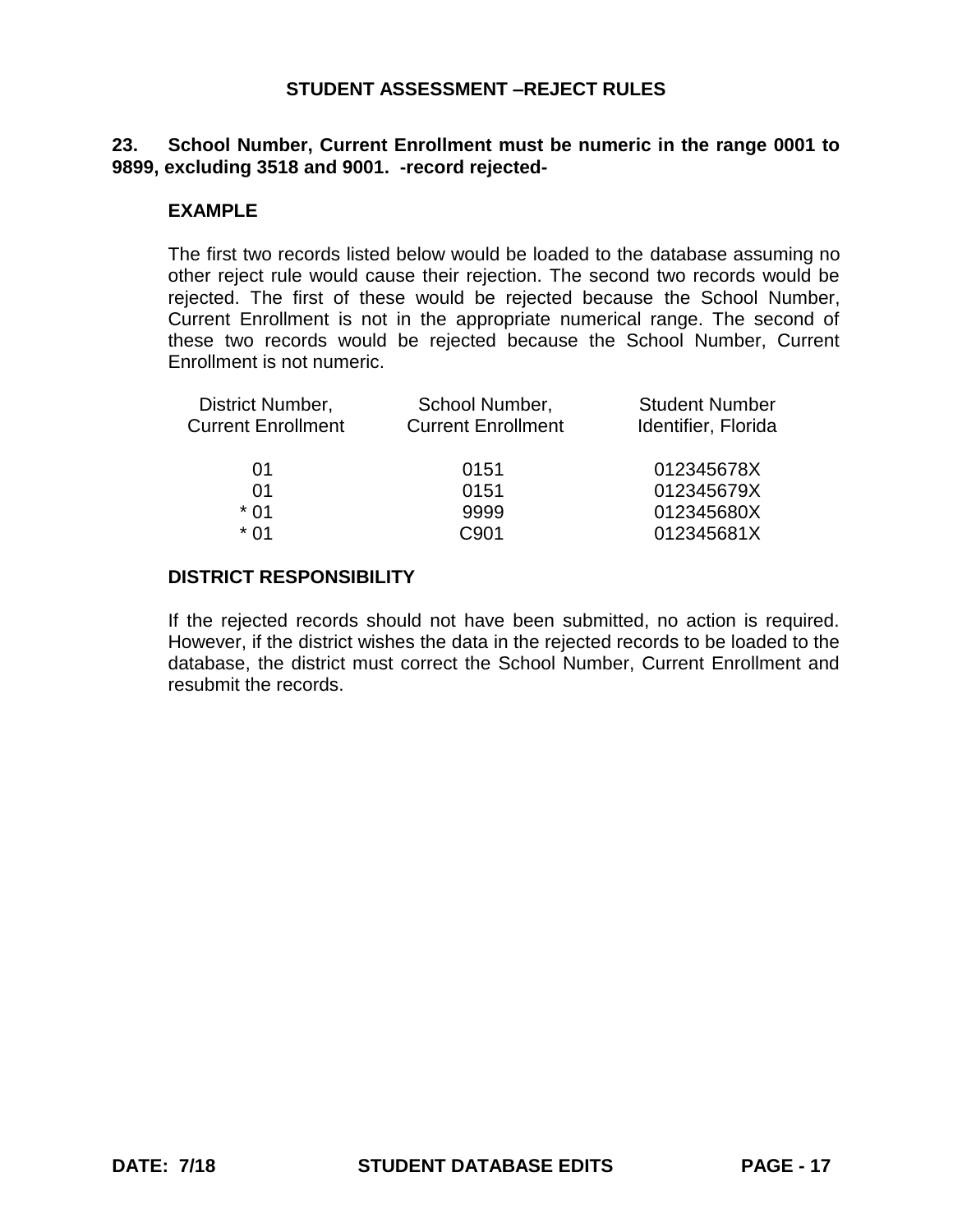### **23. School Number, Current Enrollment must be numeric in the range 0001 to 9899, excluding 3518 and 9001. -record rejected-**

#### **EXAMPLE**

The first two records listed below would be loaded to the database assuming no other reject rule would cause their rejection. The second two records would be rejected. The first of these would be rejected because the School Number, Current Enrollment is not in the appropriate numerical range. The second of these two records would be rejected because the School Number, Current Enrollment is not numeric.

| District Number,          | School Number,            | <b>Student Number</b> |
|---------------------------|---------------------------|-----------------------|
| <b>Current Enrollment</b> | <b>Current Enrollment</b> | Identifier, Florida   |
|                           |                           |                       |
| 01                        | 0151                      | 012345678X            |
| 01                        | 0151                      | 012345679X            |
| * በ1                      | 9999                      | 012345680X            |
| * በ1                      | C901                      | 012345681X            |
|                           |                           |                       |

#### **DISTRICT RESPONSIBILITY**

If the rejected records should not have been submitted, no action is required. However, if the district wishes the data in the rejected records to be loaded to the database, the district must correct the School Number, Current Enrollment and resubmit the records.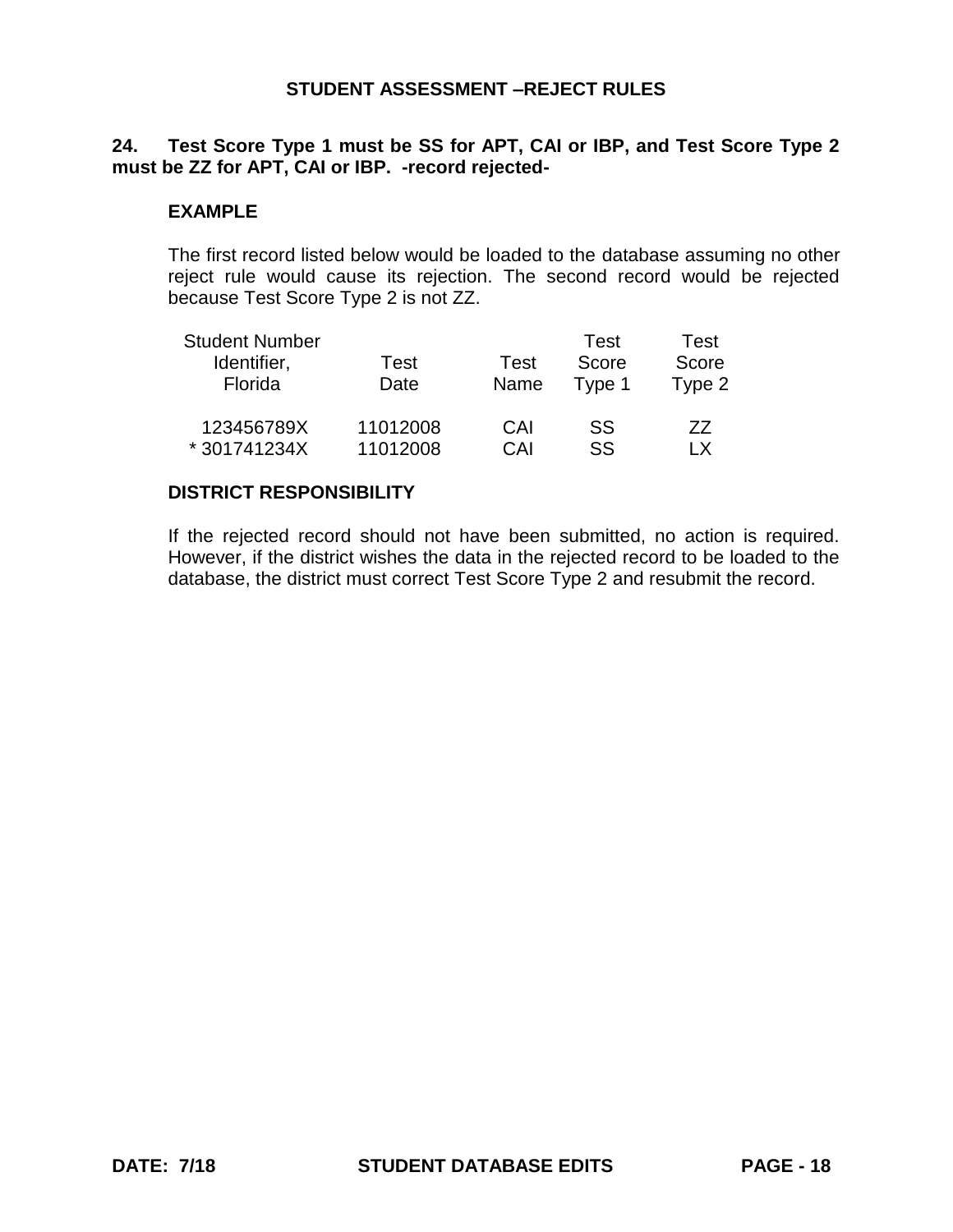# **24. Test Score Type 1 must be SS for APT, CAI or IBP, and Test Score Type 2 must be ZZ for APT, CAI or IBP. -record rejected-**

## **EXAMPLE**

The first record listed below would be loaded to the database assuming no other reject rule would cause its rejection. The second record would be rejected because Test Score Type 2 is not ZZ.

| <b>Student Number</b> |          |      | Test   | Test   |
|-----------------------|----------|------|--------|--------|
| Identifier,           | Test     | Test | Score  | Score  |
| Florida               | Date     | Name | Type 1 | Type 2 |
| 123456789X            | 11012008 | CAI  | SS     | 77     |
| *301741234X           | 11012008 | CAI  | SS     | I X    |

#### **DISTRICT RESPONSIBILITY**

If the rejected record should not have been submitted, no action is required. However, if the district wishes the data in the rejected record to be loaded to the database, the district must correct Test Score Type 2 and resubmit the record.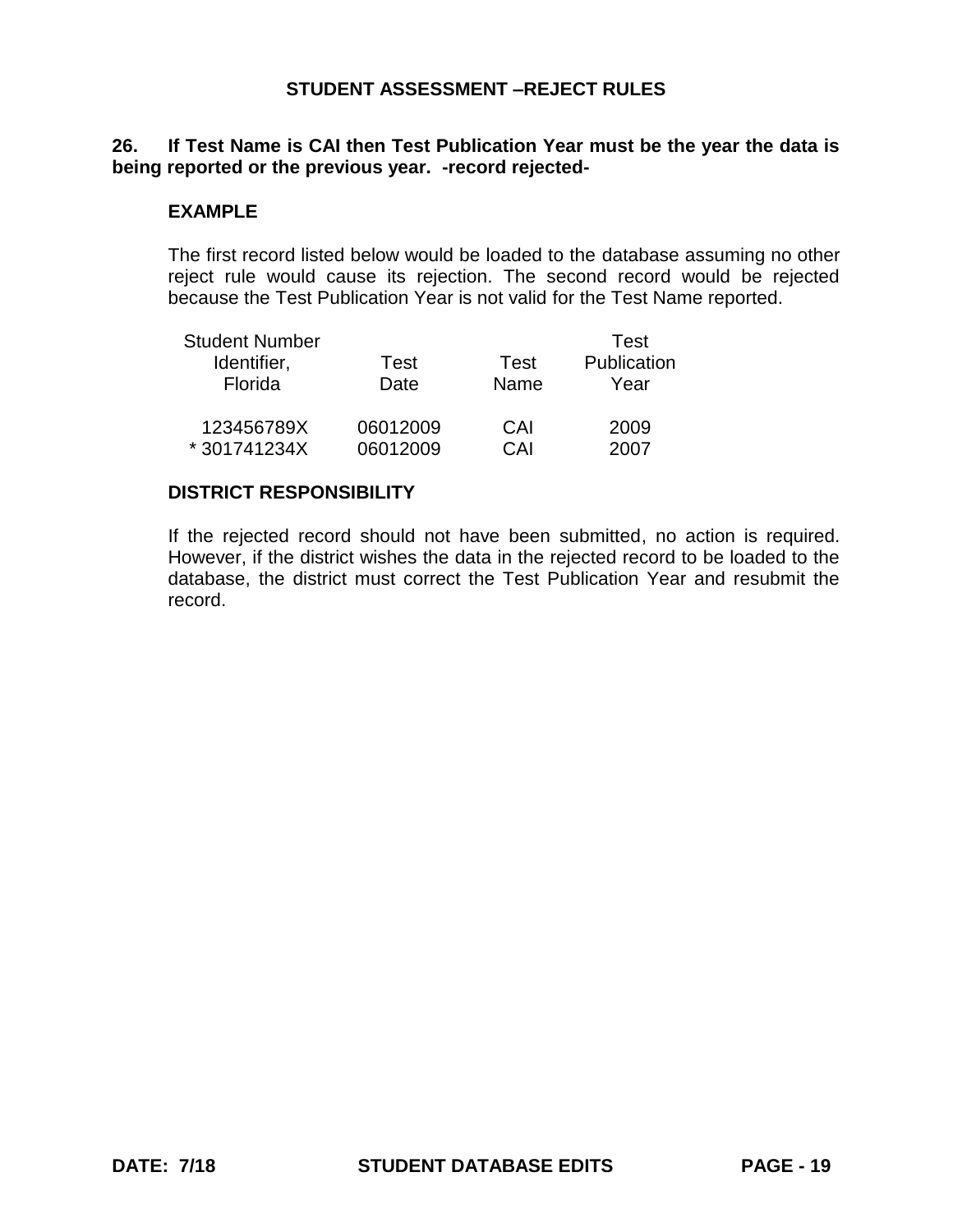## **26. If Test Name is CAI then Test Publication Year must be the year the data is being reported or the previous year. -record rejected-**

## **EXAMPLE**

The first record listed below would be loaded to the database assuming no other reject rule would cause its rejection. The second record would be rejected because the Test Publication Year is not valid for the Test Name reported.

| <b>Student Number</b> |          |      | Test        |
|-----------------------|----------|------|-------------|
| Identifier,           | Test     | Test | Publication |
| Florida               | Date     | Name | Year        |
| 123456789X            | 06012009 | CAI  | 2009        |
| *301741234X           | 06012009 | CAI  | 2007        |

#### **DISTRICT RESPONSIBILITY**

If the rejected record should not have been submitted, no action is required. However, if the district wishes the data in the rejected record to be loaded to the database, the district must correct the Test Publication Year and resubmit the record.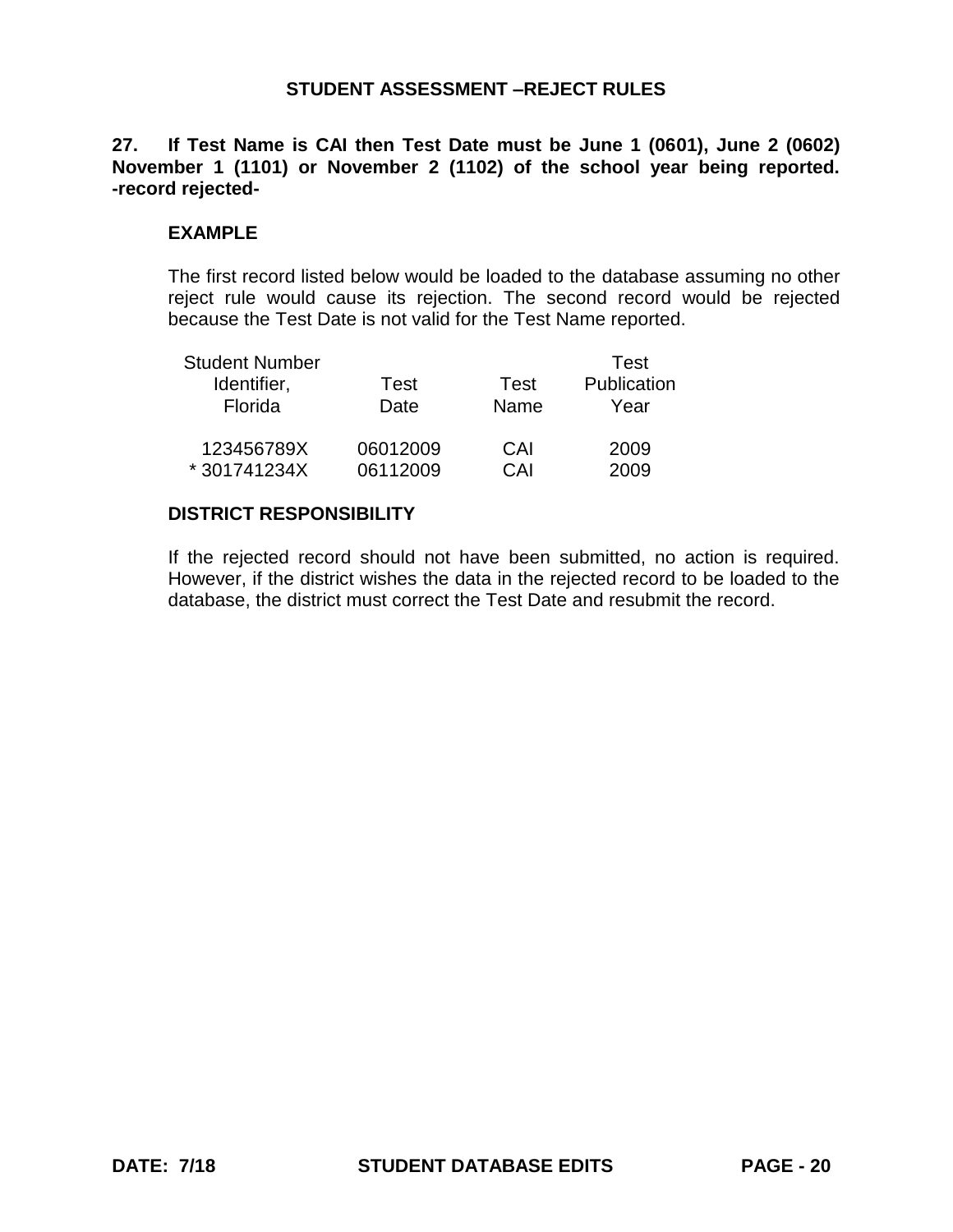**27. If Test Name is CAI then Test Date must be June 1 (0601), June 2 (0602) November 1 (1101) or November 2 (1102) of the school year being reported. -record rejected-**

#### **EXAMPLE**

The first record listed below would be loaded to the database assuming no other reject rule would cause its rejection. The second record would be rejected because the Test Date is not valid for the Test Name reported.

| <b>Student Number</b> |          |      | Test        |
|-----------------------|----------|------|-------------|
| Identifier,           | Test     | Test | Publication |
| Florida               | Date     | Name | Year        |
| 123456789X            | 06012009 | CAI  | 2009        |
| *301741234X           | 06112009 | CAI  | 2009        |

# **DISTRICT RESPONSIBILITY**

If the rejected record should not have been submitted, no action is required. However, if the district wishes the data in the rejected record to be loaded to the database, the district must correct the Test Date and resubmit the record.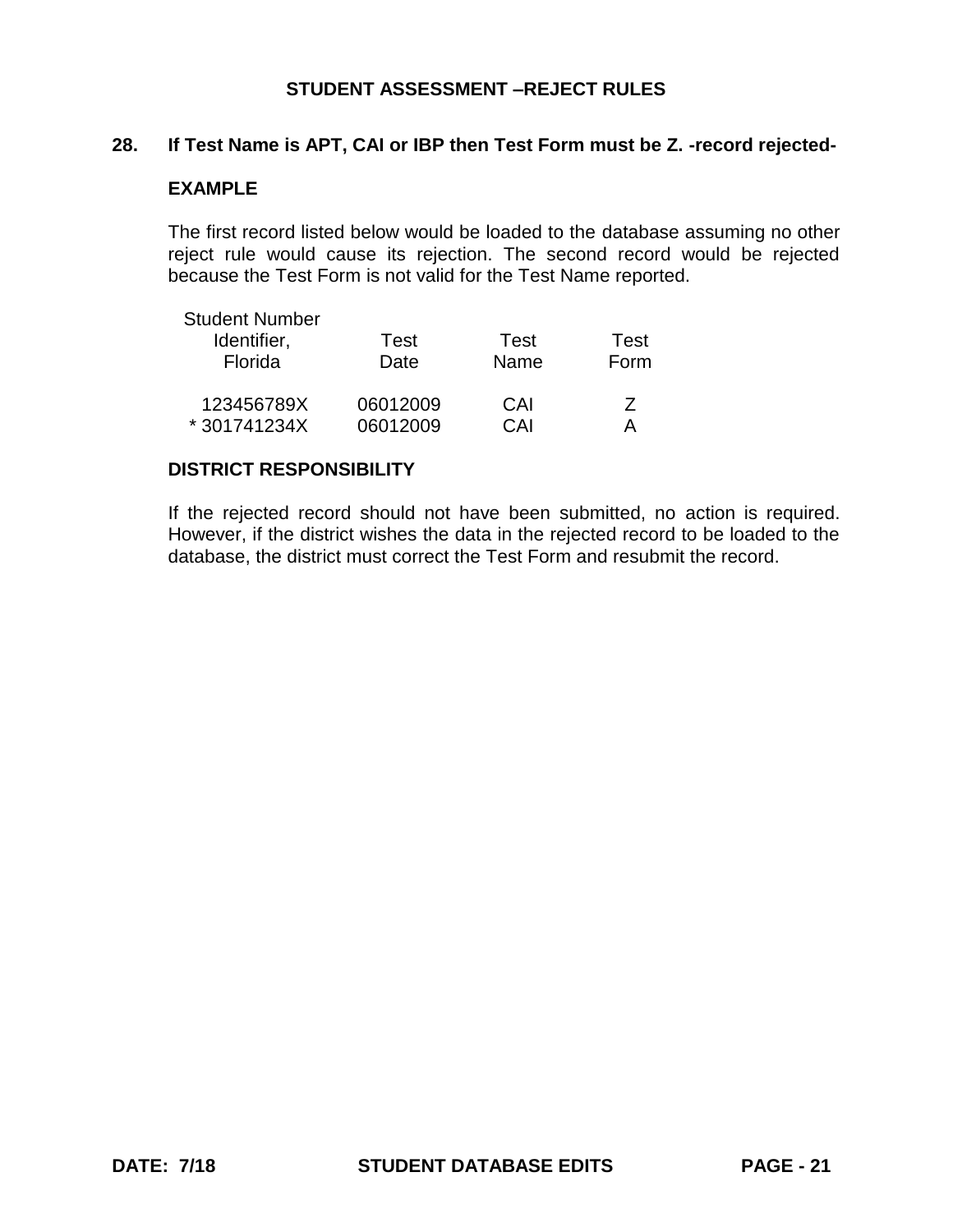### **28. If Test Name is APT, CAI or IBP then Test Form must be Z. -record rejected-**

## **EXAMPLE**

The first record listed below would be loaded to the database assuming no other reject rule would cause its rejection. The second record would be rejected because the Test Form is not valid for the Test Name reported.

| <b>Student Number</b> |          |      |      |
|-----------------------|----------|------|------|
| Identifier,           | Test     | Test | Test |
| Florida               | Date     | Name | Form |
| 123456789X            | 06012009 | CAI  | 7    |
| * 301741234X          | 06012009 | CAI  |      |

#### **DISTRICT RESPONSIBILITY**

If the rejected record should not have been submitted, no action is required. However, if the district wishes the data in the rejected record to be loaded to the database, the district must correct the Test Form and resubmit the record.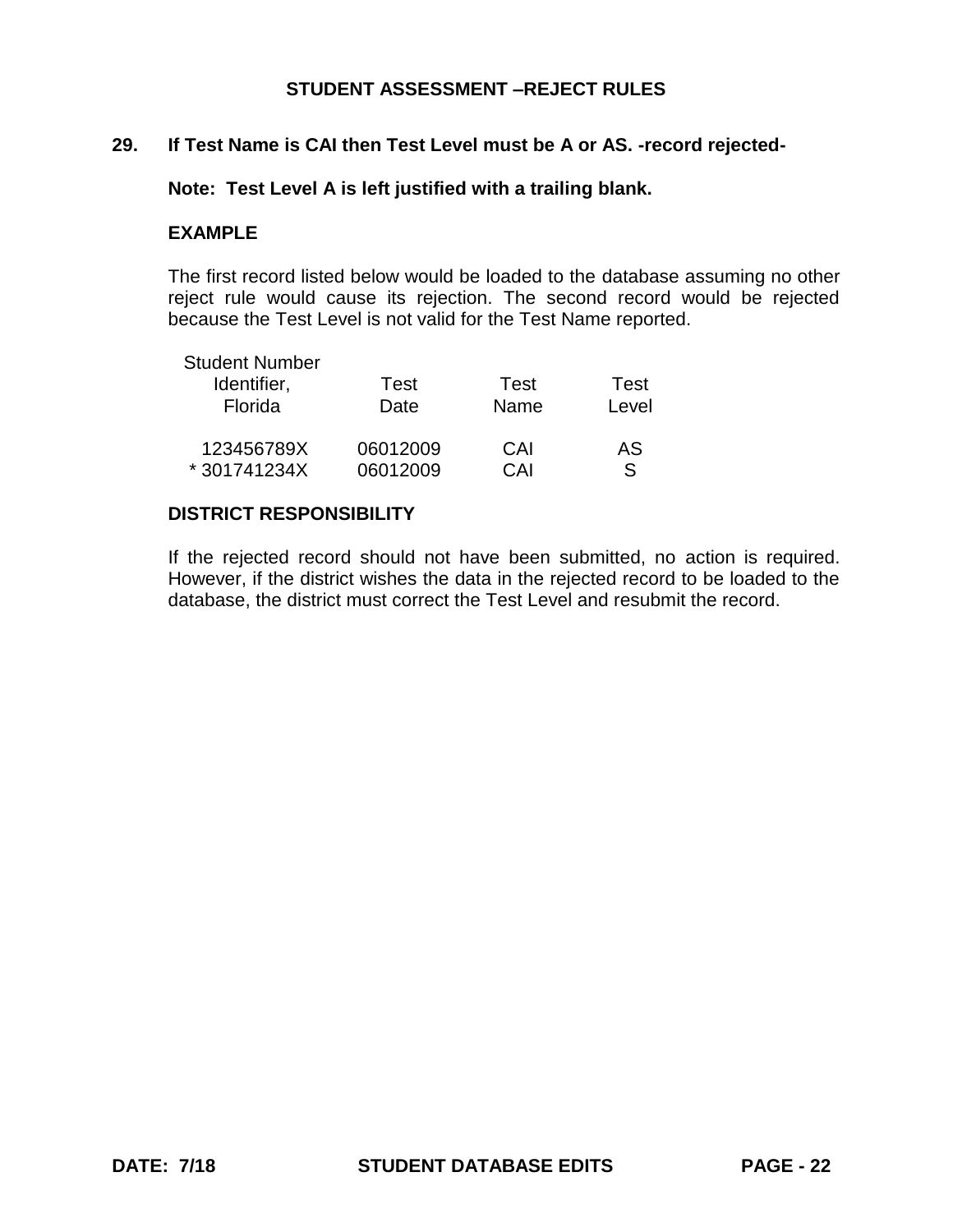# **29. If Test Name is CAI then Test Level must be A or AS. -record rejected-**

**Note: Test Level A is left justified with a trailing blank.**

#### **EXAMPLE**

The first record listed below would be loaded to the database assuming no other reject rule would cause its rejection. The second record would be rejected because the Test Level is not valid for the Test Name reported.

| <b>Student Number</b> |          |      |       |
|-----------------------|----------|------|-------|
| Identifier,           | Test     | Test | Test  |
| Florida               | Date     | Name | Level |
| 123456789X            | 06012009 | CAI  | AS    |
| *301741234X           | 06012009 | CAI  | ς     |

## **DISTRICT RESPONSIBILITY**

If the rejected record should not have been submitted, no action is required. However, if the district wishes the data in the rejected record to be loaded to the database, the district must correct the Test Level and resubmit the record.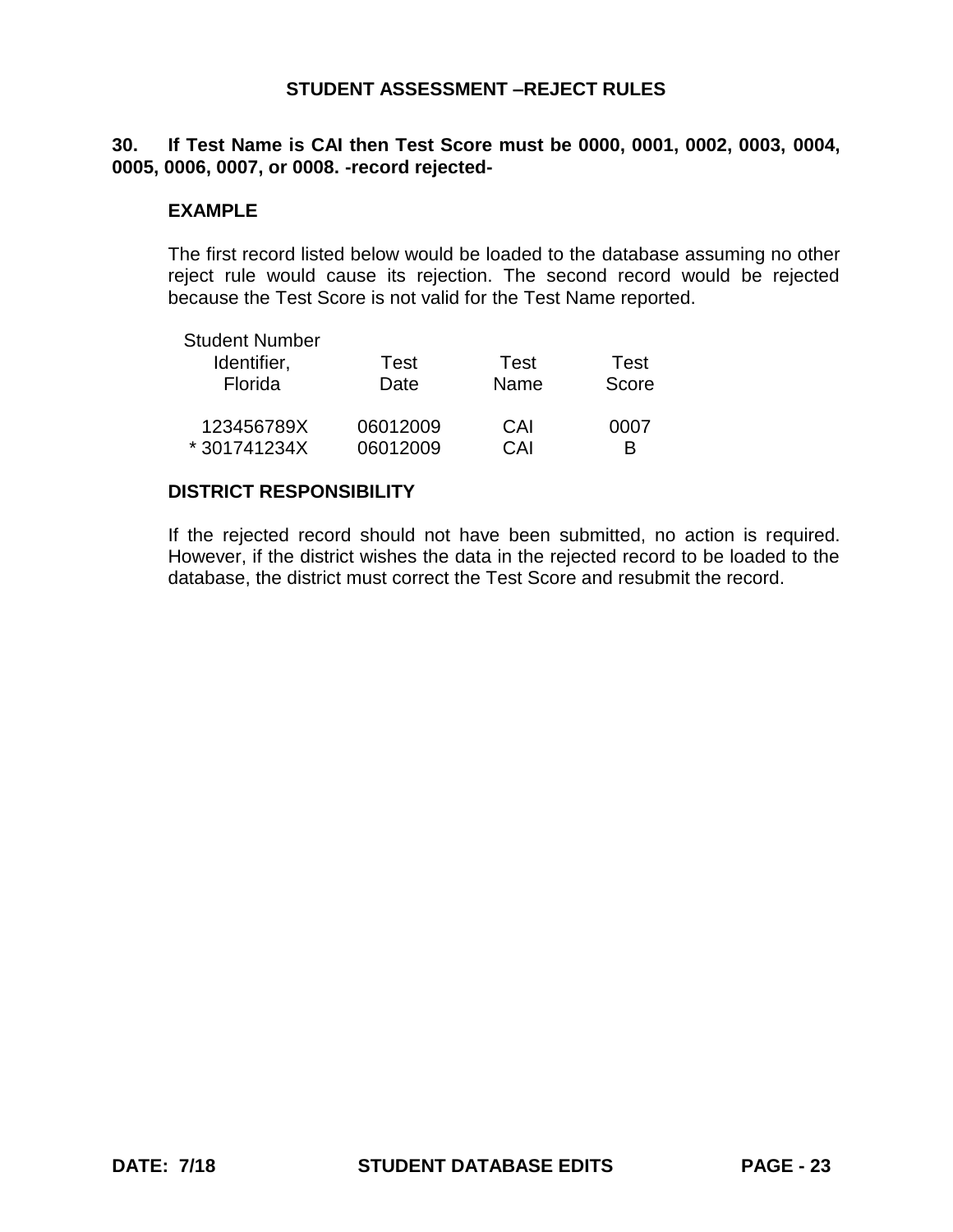## **30. If Test Name is CAI then Test Score must be 0000, 0001, 0002, 0003, 0004, 0005, 0006, 0007, or 0008. -record rejected-**

#### **EXAMPLE**

The first record listed below would be loaded to the database assuming no other reject rule would cause its rejection. The second record would be rejected because the Test Score is not valid for the Test Name reported.

| <b>Student Number</b> |          |      |       |
|-----------------------|----------|------|-------|
| Identifier,           | Test     | Test | Test  |
| Florida               | Date     | Name | Score |
| 123456789X            | 06012009 | CAI  | 0007  |
| *301741234X           | 06012009 | CAI  | R     |

### **DISTRICT RESPONSIBILITY**

If the rejected record should not have been submitted, no action is required. However, if the district wishes the data in the rejected record to be loaded to the database, the district must correct the Test Score and resubmit the record.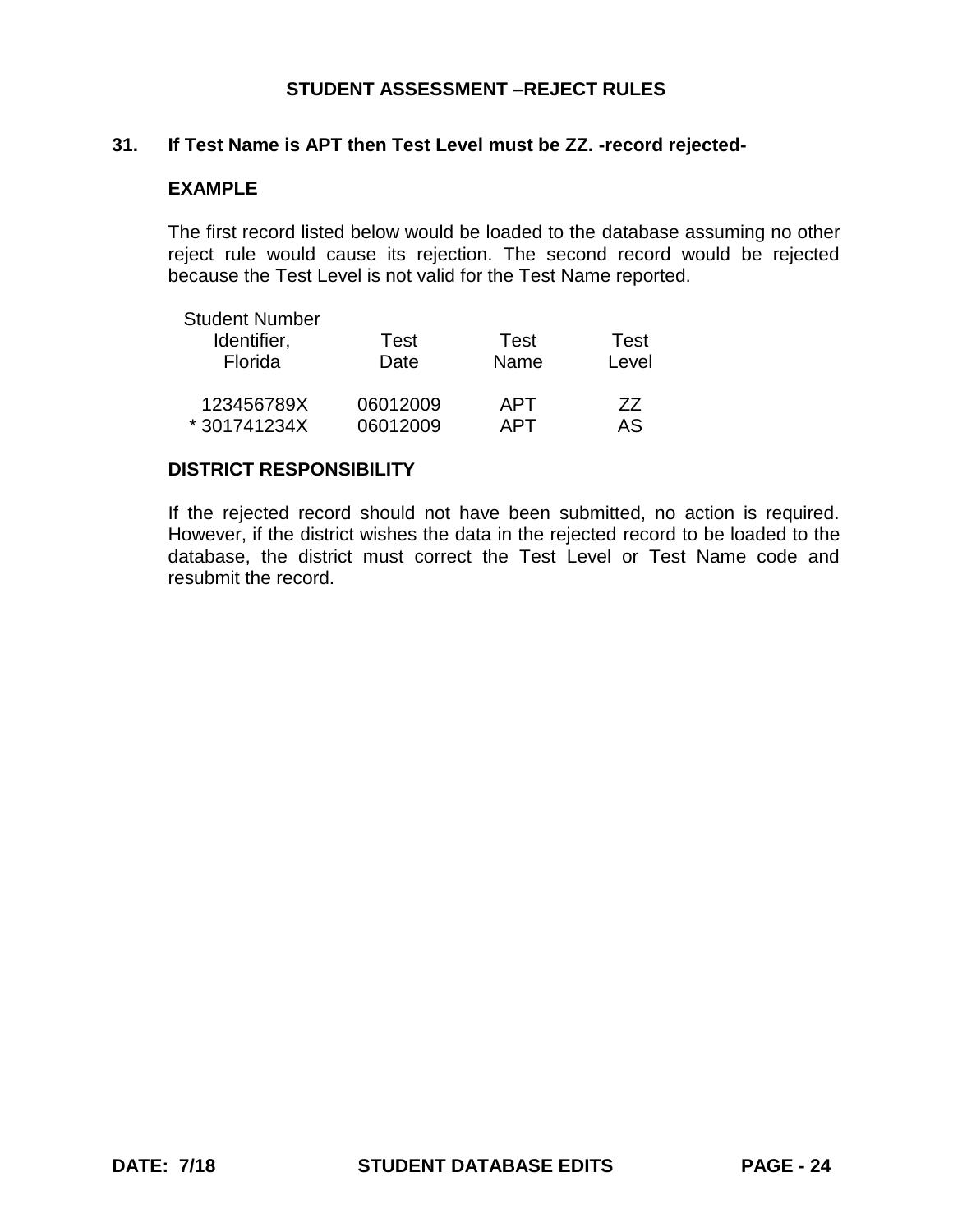### **31. If Test Name is APT then Test Level must be ZZ. -record rejected-**

## **EXAMPLE**

The first record listed below would be loaded to the database assuming no other reject rule would cause its rejection. The second record would be rejected because the Test Level is not valid for the Test Name reported.

| <b>Student Number</b> |          |      |       |
|-----------------------|----------|------|-------|
| Identifier,           | Test     | Test | Test  |
| Florida               | Date     | Name | Level |
| 123456789X            | 06012009 | APT  | 77    |
| *301741234X           | 06012009 | APT  | AS.   |

#### **DISTRICT RESPONSIBILITY**

If the rejected record should not have been submitted, no action is required. However, if the district wishes the data in the rejected record to be loaded to the database, the district must correct the Test Level or Test Name code and resubmit the record.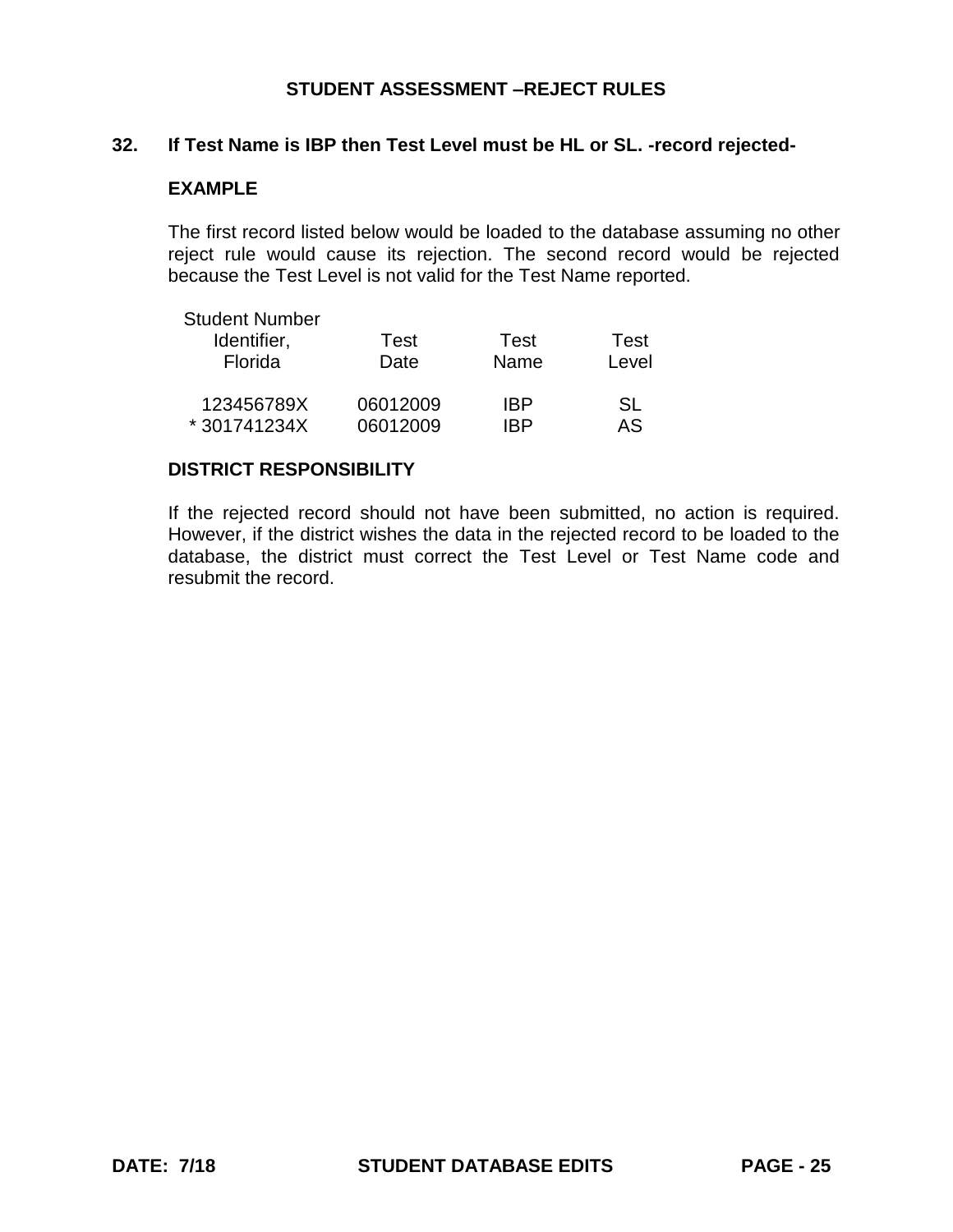#### **32. If Test Name is IBP then Test Level must be HL or SL. -record rejected-**

### **EXAMPLE**

The first record listed below would be loaded to the database assuming no other reject rule would cause its rejection. The second record would be rejected because the Test Level is not valid for the Test Name reported.

| <b>Student Number</b> |          |      |       |
|-----------------------|----------|------|-------|
| Identifier,           | Test     | Test | Test  |
| Florida               | Date     | Name | Level |
| 123456789X            | 06012009 | IBP  | SL.   |
| *301741234X           | 06012009 | IRP  | AS    |

#### **DISTRICT RESPONSIBILITY**

If the rejected record should not have been submitted, no action is required. However, if the district wishes the data in the rejected record to be loaded to the database, the district must correct the Test Level or Test Name code and resubmit the record.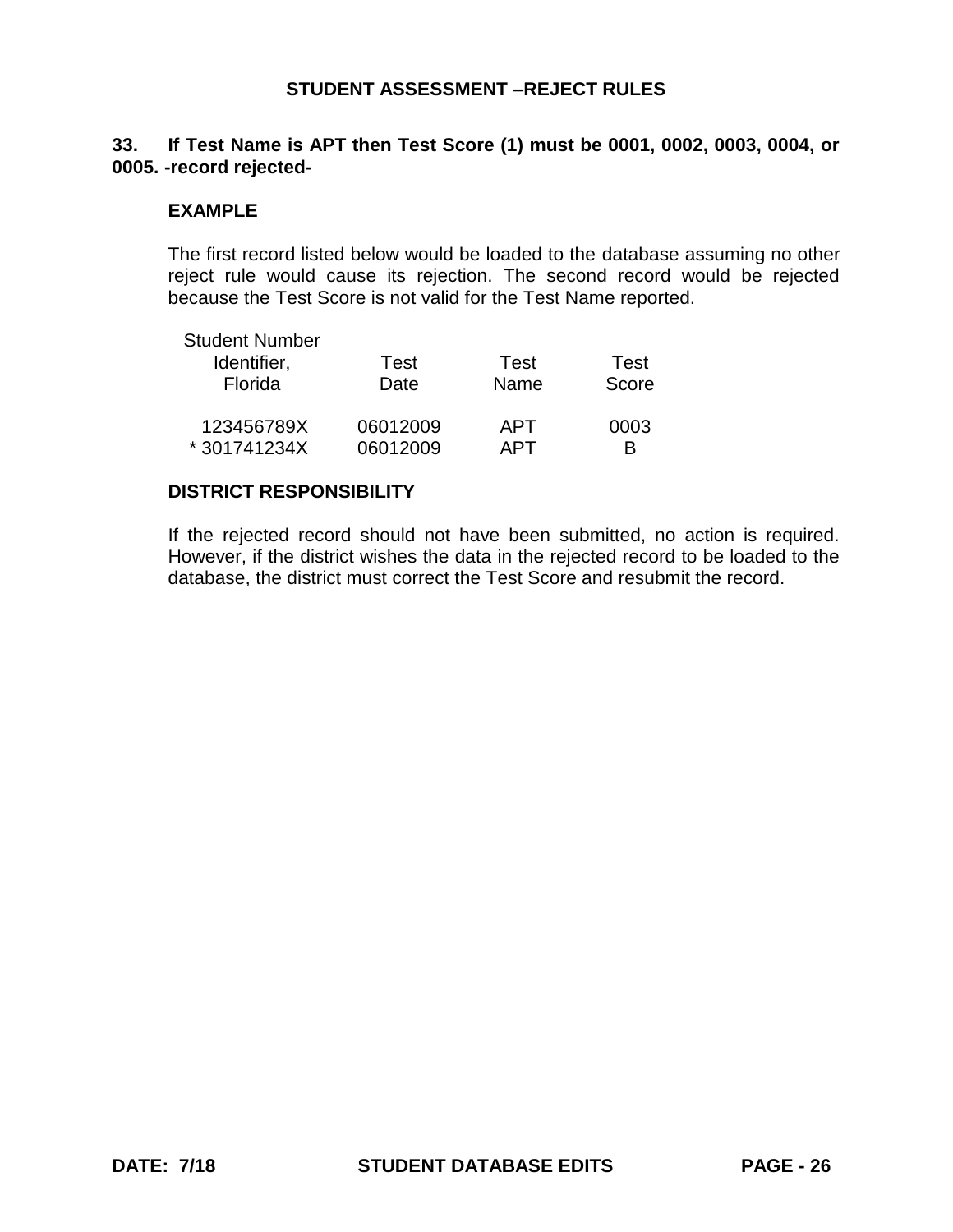# **33. If Test Name is APT then Test Score (1) must be 0001, 0002, 0003, 0004, or 0005. -record rejected-**

#### **EXAMPLE**

The first record listed below would be loaded to the database assuming no other reject rule would cause its rejection. The second record would be rejected because the Test Score is not valid for the Test Name reported.

| <b>Student Number</b> |          |       |       |
|-----------------------|----------|-------|-------|
| Identifier,           | Test     | Test  | Test  |
| Florida               | Date     | Name  | Score |
| 123456789X            | 06012009 | APT   | 0003  |
| *301741234X           | 06012009 | ∆ P I | R     |

### **DISTRICT RESPONSIBILITY**

If the rejected record should not have been submitted, no action is required. However, if the district wishes the data in the rejected record to be loaded to the database, the district must correct the Test Score and resubmit the record.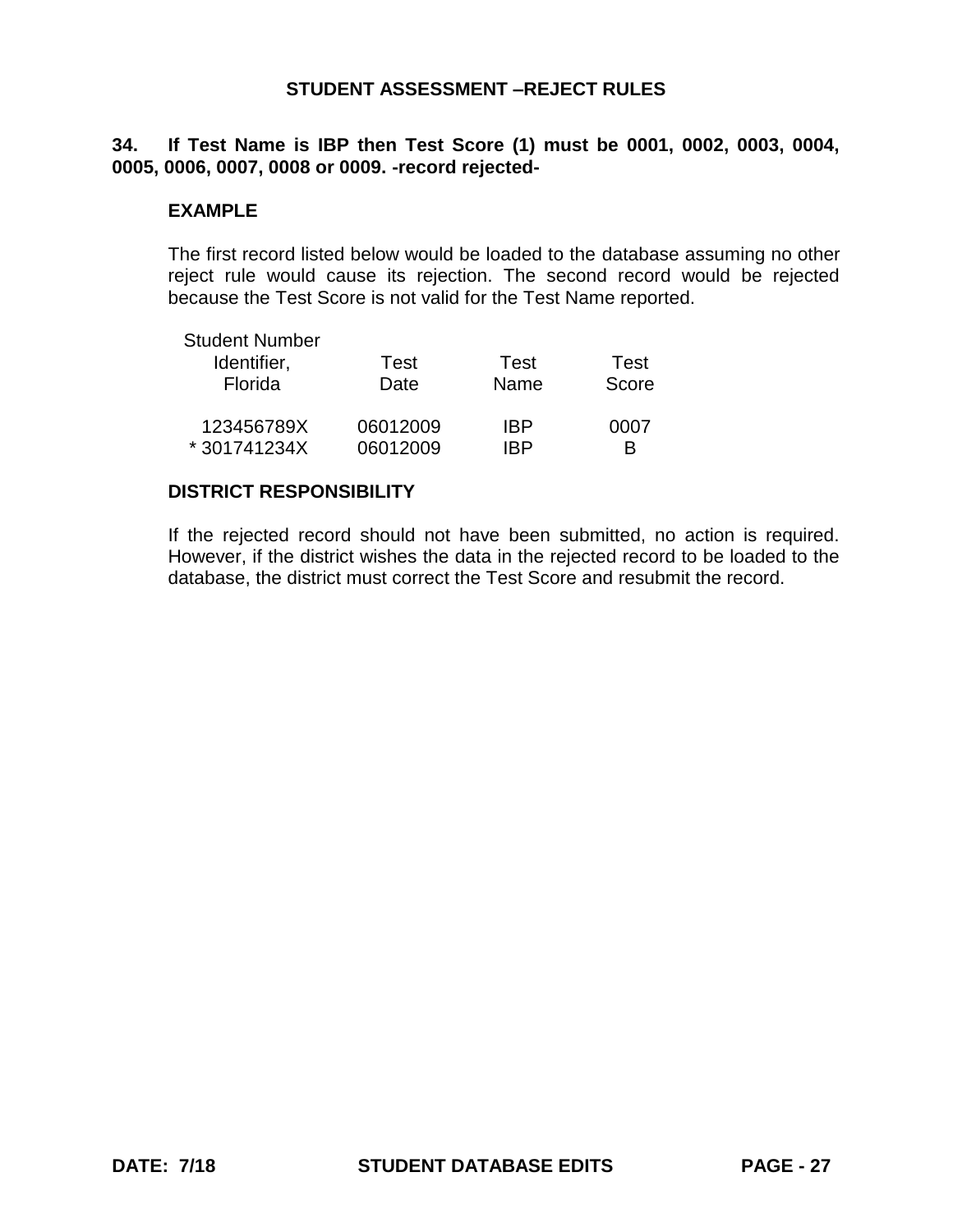## **34. If Test Name is IBP then Test Score (1) must be 0001, 0002, 0003, 0004, 0005, 0006, 0007, 0008 or 0009. -record rejected-**

#### **EXAMPLE**

The first record listed below would be loaded to the database assuming no other reject rule would cause its rejection. The second record would be rejected because the Test Score is not valid for the Test Name reported.

| <b>Student Number</b> |          |      |       |
|-----------------------|----------|------|-------|
| Identifier,           | Test     | Test | Test  |
| Florida               | Date     | Name | Score |
| 123456789X            | 06012009 | IBP  | 0007  |
| *301741234X           | 06012009 | IRP  | R     |

#### **DISTRICT RESPONSIBILITY**

If the rejected record should not have been submitted, no action is required. However, if the district wishes the data in the rejected record to be loaded to the database, the district must correct the Test Score and resubmit the record.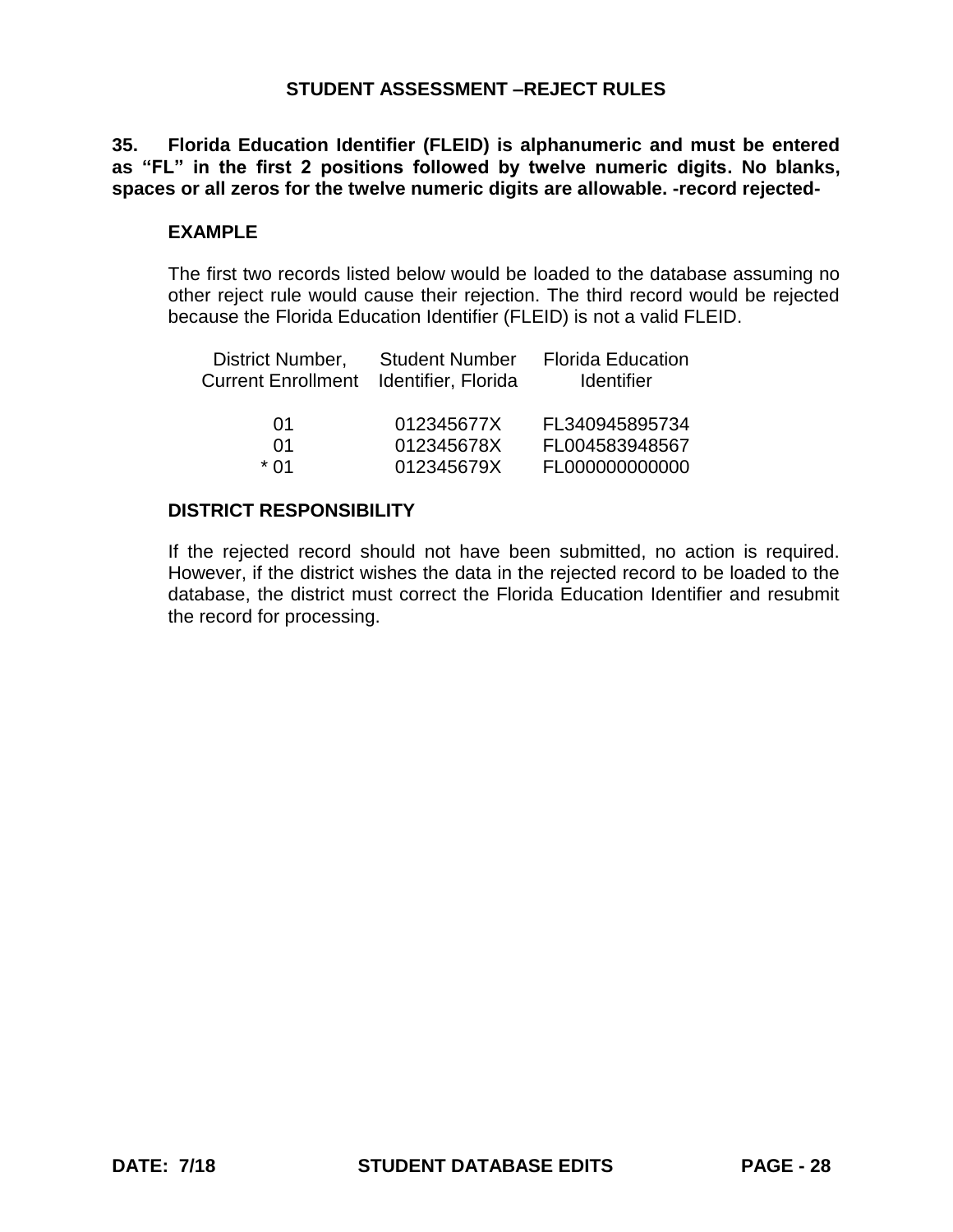**35. Florida Education Identifier (FLEID) is alphanumeric and must be entered as "FL" in the first 2 positions followed by twelve numeric digits. No blanks, spaces or all zeros for the twelve numeric digits are allowable. -record rejected-**

#### **EXAMPLE**

The first two records listed below would be loaded to the database assuming no other reject rule would cause their rejection. The third record would be rejected because the Florida Education Identifier (FLEID) is not a valid FLEID.

| District Number,<br><b>Current Enrollment</b> | <b>Student Number</b><br>Identifier, Florida | <b>Florida Education</b><br><b>Identifier</b> |
|-----------------------------------------------|----------------------------------------------|-----------------------------------------------|
| 01                                            | 012345677X                                   | FL340945895734                                |
| 01                                            | 012345678X                                   | FL004583948567                                |
| $*$ 01                                        | 012345679X                                   | FL000000000000                                |

### **DISTRICT RESPONSIBILITY**

If the rejected record should not have been submitted, no action is required. However, if the district wishes the data in the rejected record to be loaded to the database, the district must correct the Florida Education Identifier and resubmit the record for processing.